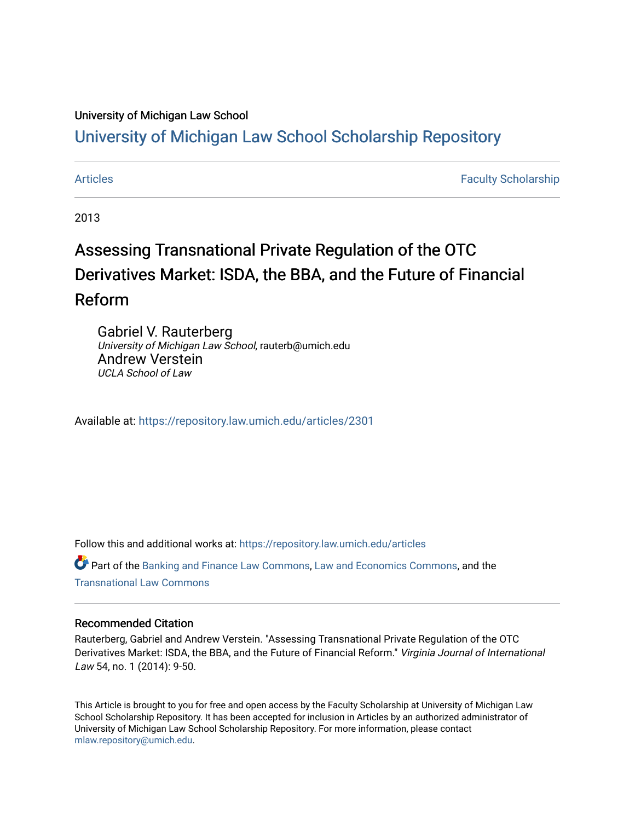### University of Michigan Law School

## [University of Michigan Law School Scholarship Repository](https://repository.law.umich.edu/)

[Articles](https://repository.law.umich.edu/articles) **Faculty Scholarship** Faculty Scholarship

2013

# Assessing Transnational Private Regulation of the OTC Derivatives Market: ISDA, the BBA, and the Future of Financial Reform

Gabriel V. Rauterberg University of Michigan Law School, rauterb@umich.edu Andrew Verstein UCLA School of Law

Available at: <https://repository.law.umich.edu/articles/2301>

Follow this and additional works at: [https://repository.law.umich.edu/articles](https://repository.law.umich.edu/articles?utm_source=repository.law.umich.edu%2Farticles%2F2301&utm_medium=PDF&utm_campaign=PDFCoverPages) 

Part of the [Banking and Finance Law Commons,](http://network.bepress.com/hgg/discipline/833?utm_source=repository.law.umich.edu%2Farticles%2F2301&utm_medium=PDF&utm_campaign=PDFCoverPages) [Law and Economics Commons](http://network.bepress.com/hgg/discipline/612?utm_source=repository.law.umich.edu%2Farticles%2F2301&utm_medium=PDF&utm_campaign=PDFCoverPages), and the [Transnational Law Commons](http://network.bepress.com/hgg/discipline/1123?utm_source=repository.law.umich.edu%2Farticles%2F2301&utm_medium=PDF&utm_campaign=PDFCoverPages)

#### Recommended Citation

Rauterberg, Gabriel and Andrew Verstein. "Assessing Transnational Private Regulation of the OTC Derivatives Market: ISDA, the BBA, and the Future of Financial Reform." Virginia Journal of International Law 54, no. 1 (2014): 9-50.

This Article is brought to you for free and open access by the Faculty Scholarship at University of Michigan Law School Scholarship Repository. It has been accepted for inclusion in Articles by an authorized administrator of University of Michigan Law School Scholarship Repository. For more information, please contact [mlaw.repository@umich.edu.](mailto:mlaw.repository@umich.edu)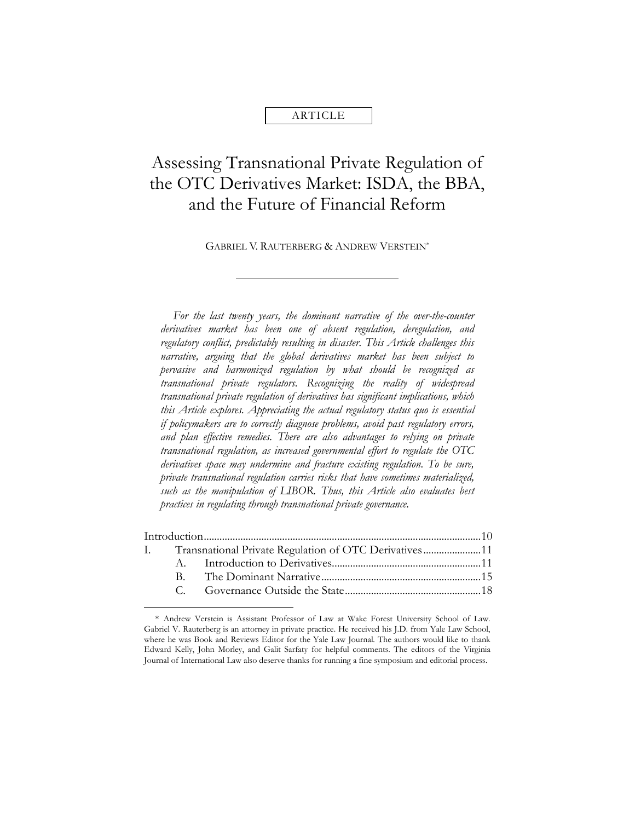#### ARTICLE

# Assessing Transnational Private Regulation of the OTC Derivatives Market: ISDA, the BBA, and the Future of Financial Reform

GABRIEL V. RAUTERBERG & ANDREW VERSTEIN\*

*For the last twenty years, the dominant narrative of the over-the-counter derivatives market has been one of absent regulation, deregulation, and regulatory conflict, predictably resulting in disaster. This Article challenges this narrative, arguing that the global derivatives market has been subject to pervasive and harmonized regulation by what should be recognized as transnational private regulators. Recognizing the reality of widespread transnational private regulation of derivatives has significant implications, which this Article explores. Appreciating the actual regulatory status quo is essential if policymakers are to correctly diagnose problems, avoid past regulatory errors, and plan effective remedies. There are also advantages to relying on private transnational regulation, as increased governmental effort to regulate the OTC derivatives space may undermine and fracture existing regulation. To be sure, private transnational regulation carries risks that have sometimes materialized,*  such as the manipulation of LIBOR. Thus, this Article also evaluates best *practices in regulating through transnational private governance.*

|  | I. Transnational Private Regulation of OTC Derivatives11 |  |
|--|----------------------------------------------------------|--|
|  |                                                          |  |
|  |                                                          |  |
|  |                                                          |  |

<sup>\*</sup> Andrew Verstein is Assistant Professor of Law at Wake Forest University School of Law. Gabriel V. Rauterberg is an attorney in private practice. He received his J.D. from Yale Law School, where he was Book and Reviews Editor for the Yale Law Journal. The authors would like to thank Edward Kelly, John Morley, and Galit Sarfaty for helpful comments. The editors of the Virginia Journal of International Law also deserve thanks for running a fine symposium and editorial process.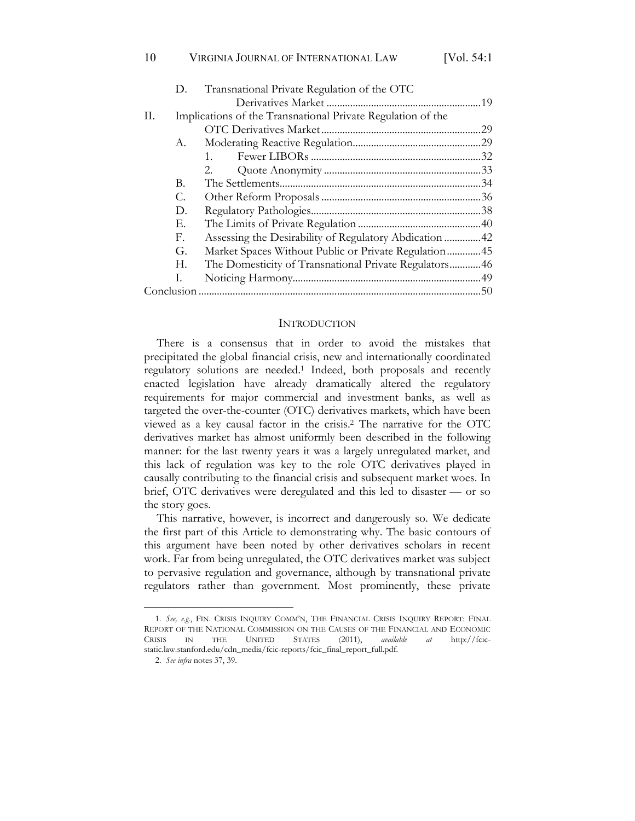| D.           | Transnational Private Regulation of the OTC                 |  |  |  |  |
|--------------|-------------------------------------------------------------|--|--|--|--|
|              |                                                             |  |  |  |  |
|              | Implications of the Transnational Private Regulation of the |  |  |  |  |
|              |                                                             |  |  |  |  |
| А.           |                                                             |  |  |  |  |
|              | $1_{-}$                                                     |  |  |  |  |
|              | $2^{2}$                                                     |  |  |  |  |
| В.           |                                                             |  |  |  |  |
| С.           |                                                             |  |  |  |  |
| D.           |                                                             |  |  |  |  |
| Е.           |                                                             |  |  |  |  |
| $F_{\rm{r}}$ | Assessing the Desirability of Regulatory Abdication 42      |  |  |  |  |
| G.           | Market Spaces Without Public or Private Regulation45        |  |  |  |  |

| The Domesticity of Transnational Private Regulators46 |  |
|-------------------------------------------------------|--|
|                                                       |  |
|                                                       |  |
|                                                       |  |

#### **INTRODUCTION**

There is a consensus that in order to avoid the mistakes that precipitated the global financial crisis, new and internationally coordinated regulatory solutions are needed.1 Indeed, both proposals and recently enacted legislation have already dramatically altered the regulatory requirements for major commercial and investment banks, as well as targeted the over-the-counter (OTC) derivatives markets, which have been viewed as a key causal factor in the crisis.2 The narrative for the OTC derivatives market has almost uniformly been described in the following manner: for the last twenty years it was a largely unregulated market, and this lack of regulation was key to the role OTC derivatives played in causally contributing to the financial crisis and subsequent market woes. In brief, OTC derivatives were deregulated and this led to disaster — or so the story goes.

This narrative, however, is incorrect and dangerously so. We dedicate the first part of this Article to demonstrating why. The basic contours of this argument have been noted by other derivatives scholars in recent work. Far from being unregulated, the OTC derivatives market was subject to pervasive regulation and governance, although by transnational private regulators rather than government. Most prominently, these private

<sup>1.</sup> *See, e.g.*, FIN. CRISIS INQUIRY COMM'N, THE FINANCIAL CRISIS INQUIRY REPORT: FINAL REPORT OF THE NATIONAL COMMISSION ON THE CAUSES OF THE FINANCIAL AND ECONOMIC CRISIS IN THE UNITED STATES (2011), *available at* http://fcicstatic.law.stanford.edu/cdn\_media/fcic-reports/fcic\_final\_report\_full.pdf.

<sup>2.</sup> *See infra* notes 37, 39.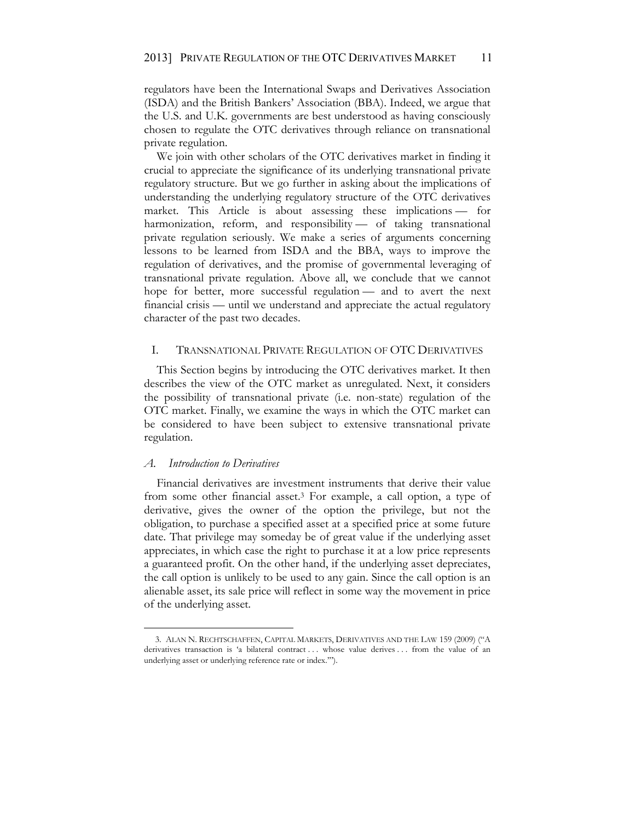regulators have been the International Swaps and Derivatives Association (ISDA) and the British Bankers' Association (BBA). Indeed, we argue that the U.S. and U.K. governments are best understood as having consciously chosen to regulate the OTC derivatives through reliance on transnational private regulation.

We join with other scholars of the OTC derivatives market in finding it crucial to appreciate the significance of its underlying transnational private regulatory structure. But we go further in asking about the implications of understanding the underlying regulatory structure of the OTC derivatives market. This Article is about assessing these implications — for harmonization, reform, and responsibility - of taking transnational private regulation seriously. We make a series of arguments concerning lessons to be learned from ISDA and the BBA, ways to improve the regulation of derivatives, and the promise of governmental leveraging of transnational private regulation. Above all, we conclude that we cannot hope for better, more successful regulation — and to avert the next financial crisis — until we understand and appreciate the actual regulatory character of the past two decades.

#### I. TRANSNATIONAL PRIVATE REGULATION OF OTC DERIVATIVES

This Section begins by introducing the OTC derivatives market. It then describes the view of the OTC market as unregulated. Next, it considers the possibility of transnational private (i.e. non-state) regulation of the OTC market. Finally, we examine the ways in which the OTC market can be considered to have been subject to extensive transnational private regulation.

#### *A. Introduction to Derivatives*

Financial derivatives are investment instruments that derive their value from some other financial asset.3 For example, a call option, a type of derivative, gives the owner of the option the privilege, but not the obligation, to purchase a specified asset at a specified price at some future date. That privilege may someday be of great value if the underlying asset appreciates, in which case the right to purchase it at a low price represents a guaranteed profit. On the other hand, if the underlying asset depreciates, the call option is unlikely to be used to any gain. Since the call option is an alienable asset, its sale price will reflect in some way the movement in price of the underlying asset.

<sup>3.</sup> ALAN N. RECHTSCHAFFEN, CAPITAL MARKETS, DERIVATIVES AND THE LAW 159 (2009) ("A derivatives transaction is 'a bilateral contract ... whose value derives ... from the value of an underlying asset or underlying reference rate or index.'").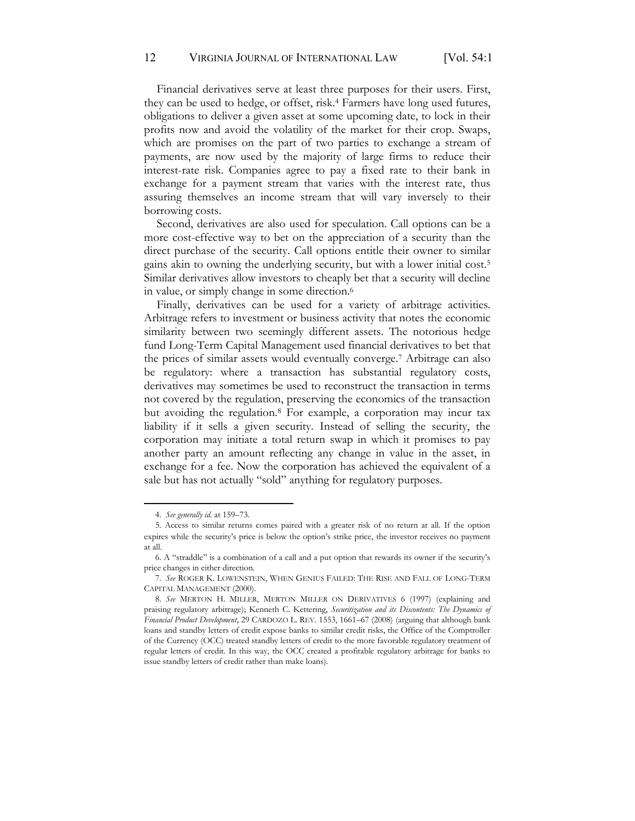Financial derivatives serve at least three purposes for their users. First, they can be used to hedge, or offset, risk.4 Farmers have long used futures, obligations to deliver a given asset at some upcoming date, to lock in their profits now and avoid the volatility of the market for their crop. Swaps, which are promises on the part of two parties to exchange a stream of payments, are now used by the majority of large firms to reduce their interest-rate risk. Companies agree to pay a fixed rate to their bank in exchange for a payment stream that varies with the interest rate, thus assuring themselves an income stream that will vary inversely to their borrowing costs.

Second, derivatives are also used for speculation. Call options can be a more cost-effective way to bet on the appreciation of a security than the direct purchase of the security. Call options entitle their owner to similar gains akin to owning the underlying security, but with a lower initial cost.5 Similar derivatives allow investors to cheaply bet that a security will decline in value, or simply change in some direction.6

Finally, derivatives can be used for a variety of arbitrage activities. Arbitrage refers to investment or business activity that notes the economic similarity between two seemingly different assets. The notorious hedge fund Long-Term Capital Management used financial derivatives to bet that the prices of similar assets would eventually converge.7 Arbitrage can also be regulatory: where a transaction has substantial regulatory costs, derivatives may sometimes be used to reconstruct the transaction in terms not covered by the regulation, preserving the economics of the transaction but avoiding the regulation.8 For example, a corporation may incur tax liability if it sells a given security. Instead of selling the security, the corporation may initiate a total return swap in which it promises to pay another party an amount reflecting any change in value in the asset, in exchange for a fee. Now the corporation has achieved the equivalent of a sale but has not actually "sold" anything for regulatory purposes.

<sup>4.</sup> *See generally id.* at 159–73.

<sup>5.</sup> Access to similar returns comes paired with a greater risk of no return at all. If the option expires while the security's price is below the option's strike price, the investor receives no payment at all.

<sup>6</sup>. A "straddle" is a combination of a call and a put option that rewards its owner if the security's price changes in either direction.

<sup>7.</sup> *See* ROGER K. LOWENSTEIN, WHEN GENIUS FAILED: THE RISE AND FALL OF LONG-TERM CAPITAL MANAGEMENT (2000).

<sup>8.</sup> *See* MERTON H. MILLER, MERTON MILLER ON DERIVATIVES 6 (1997) (explaining and praising regulatory arbitrage); Kenneth C. Kettering, *Securitization and its Discontents: The Dynamics of Financial Product Development*, 29 CARDOZO L. REV. 1553, 1661–67 (2008) (arguing that although bank loans and standby letters of credit expose banks to similar credit risks, the Office of the Comptroller of the Currency (OCC) treated standby letters of credit to the more favorable regulatory treatment of regular letters of credit. In this way, the OCC created a profitable regulatory arbitrage for banks to issue standby letters of credit rather than make loans).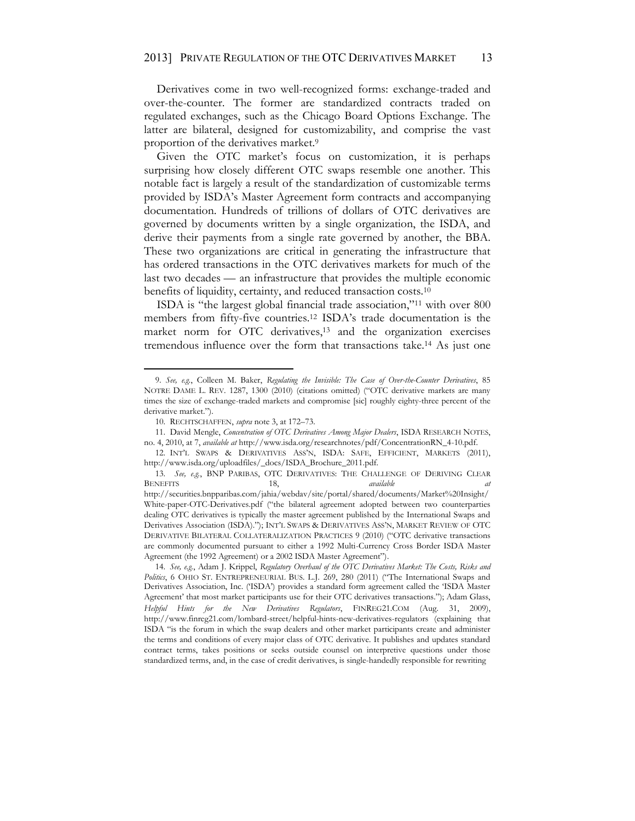Derivatives come in two well-recognized forms: exchange-traded and over-the-counter. The former are standardized contracts traded on regulated exchanges, such as the Chicago Board Options Exchange. The latter are bilateral, designed for customizability, and comprise the vast proportion of the derivatives market.9

Given the OTC market's focus on customization, it is perhaps surprising how closely different OTC swaps resemble one another. This notable fact is largely a result of the standardization of customizable terms provided by ISDA's Master Agreement form contracts and accompanying documentation. Hundreds of trillions of dollars of OTC derivatives are governed by documents written by a single organization, the ISDA, and derive their payments from a single rate governed by another, the BBA. These two organizations are critical in generating the infrastructure that has ordered transactions in the OTC derivatives markets for much of the last two decades — an infrastructure that provides the multiple economic benefits of liquidity, certainty, and reduced transaction costs.<sup>10</sup>

ISDA is "the largest global financial trade association,"<sup>11</sup> with over 800 members from fifty-five countries.12 ISDA's trade documentation is the market norm for OTC derivatives,13 and the organization exercises tremendous influence over the form that transactions take.14 As just one

<sup>9.</sup> *See, e.g.*, Colleen M. Baker, *Regulating the Invisible: The Case of Over-the-Counter Derivatives*, 85 NOTRE DAME L. REV. 1287, 1300 (2010) (citations omitted) ("OTC derivative markets are many times the size of exchange-traded markets and compromise [sic] roughly eighty-three percent of the derivative market.").

<sup>10.</sup> RECHTSCHAFFEN, *supra* note 3, at 172–73.

<sup>11.</sup> David Mengle, *Concentration of OTC Derivatives Among Major Dealers*, ISDA RESEARCH NOTES, no. 4, 2010, at 7, *available at* http://www.isda.org/researchnotes/pdf/ConcentrationRN\_4-10.pdf.

<sup>12.</sup> INT'L SWAPS & DERIVATIVES ASS'N, ISDA: SAFE, EFFICIENT, MARKETS (2011), http://www.isda.org/uploadfiles/\_docs/ISDA\_Brochure\_2011.pdf.

<sup>13.</sup> *See, e.g.*, BNP PARIBAS, OTC DERIVATIVES: THE CHALLENGE OF DERIVING CLEAR BENEFITS 18, *available at*  http://securities.bnpparibas.com/jahia/webdav/site/portal/shared/documents/Market%20Insight/ White-paper-OTC-Derivatives.pdf ("the bilateral agreement adopted between two counterparties dealing OTC derivatives is typically the master agreement published by the International Swaps and Derivatives Association (ISDA)."); INT'L SWAPS & DERIVATIVES ASS'N, MARKET REVIEW OF OTC DERIVATIVE BILATERAL COLLATERALIZATION PRACTICES 9 (2010) ("OTC derivative transactions are commonly documented pursuant to either a 1992 Multi-Currency Cross Border ISDA Master Agreement (the 1992 Agreement) or a 2002 ISDA Master Agreement").

<sup>14.</sup> *See, e.g.*, Adam J. Krippel, *Regulatory Overhaul of the OTC Derivatives Market: The Costs, Risks and Politics*, 6 OHIO ST. ENTREPRENEURIAL BUS. L.J. 269, 280 (2011) ("The International Swaps and Derivatives Association, Inc. ('ISDA') provides a standard form agreement called the 'ISDA Master Agreement' that most market participants use for their OTC derivatives transactions."); Adam Glass, *Helpful Hints for the New Derivatives Regulators*, FINREG21.COM (Aug. 31, 2009), http://www.finreg21.com/lombard-street/helpful-hints-new-derivatives-regulators (explaining that ISDA "is the forum in which the swap dealers and other market participants create and administer the terms and conditions of every major class of OTC derivative. It publishes and updates standard contract terms, takes positions or seeks outside counsel on interpretive questions under those standardized terms, and, in the case of credit derivatives, is single-handedly responsible for rewriting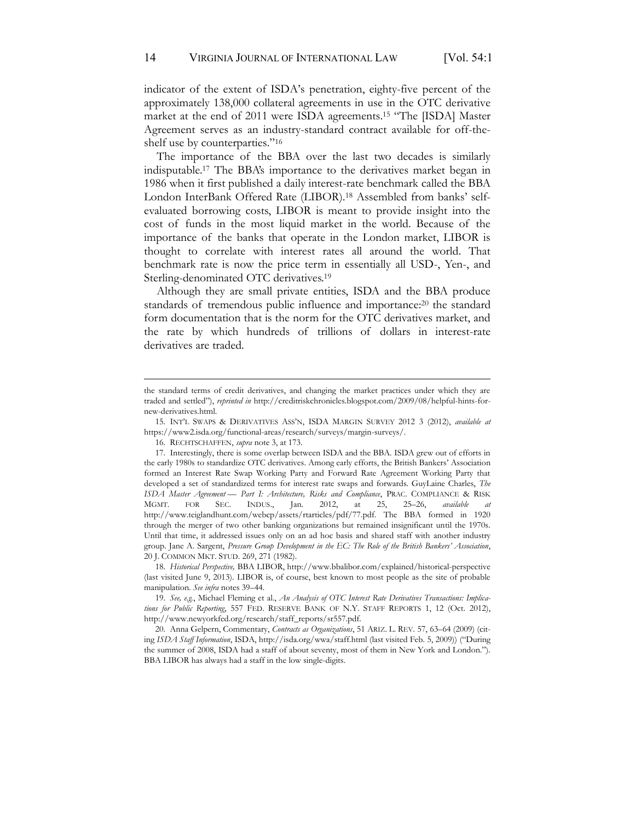indicator of the extent of ISDA's penetration, eighty-five percent of the approximately 138,000 collateral agreements in use in the OTC derivative market at the end of 2011 were ISDA agreements.15 "The [ISDA] Master Agreement serves as an industry-standard contract available for off-theshelf use by counterparties."<sup>16</sup>

The importance of the BBA over the last two decades is similarly indisputable.17 The BBA's importance to the derivatives market began in 1986 when it first published a daily interest-rate benchmark called the BBA London InterBank Offered Rate (LIBOR).18 Assembled from banks' selfevaluated borrowing costs, LIBOR is meant to provide insight into the cost of funds in the most liquid market in the world. Because of the importance of the banks that operate in the London market, LIBOR is thought to correlate with interest rates all around the world. That benchmark rate is now the price term in essentially all USD-, Yen-, and Sterling-denominated OTC derivatives.19

Although they are small private entities, ISDA and the BBA produce standards of tremendous public influence and importance: <sup>20</sup> the standard form documentation that is the norm for the OTC derivatives market, and the rate by which hundreds of trillions of dollars in interest-rate derivatives are traded.

18. *Historical Perspective,* BBA LIBOR, http://www.bbalibor.com/explained/historical-perspective (last visited June 9, 2013). LIBOR is, of course, best known to most people as the site of probable manipulation. *See infra* notes 39–44.

the standard terms of credit derivatives, and changing the market practices under which they are traded and settled"), *reprinted in* http://creditriskchronicles.blogspot.com/2009/08/helpful-hints-fornew-derivatives.html.

<sup>15.</sup> INT'L SWAPS & DERIVATIVES ASS'N, ISDA MARGIN SURVEY 2012 3 (2012), *available at* https://www2.isda.org/functional-areas/research/surveys/margin-surveys/.

<sup>16.</sup> RECHTSCHAFFEN, *supra* note 3, at 173.

<sup>17.</sup> Interestingly, there is some overlap between ISDA and the BBA. ISDA grew out of efforts in the early 1980s to standardize OTC derivatives. Among early efforts, the British Bankers' Association formed an Interest Rate Swap Working Party and Forward Rate Agreement Working Party that developed a set of standardized terms for interest rate swaps and forwards. GuyLaine Charles, *The ISDA Master Agreement* — *Part I: Architecture*, *Risks and Compliance*, *PRAC. COMPLIANCE & RISK* MGMT. FOR SEC. INDUS., Jan. 2012, at 25, 25–26, *available at* MGMT. FOR SEC. INDUS., Jan. 2012, at 25, 25–26, *available at*  http://www.teiglandhunt.com/webcp/assets/rtarticles/pdf/77.pdf. The BBA formed in 1920 through the merger of two other banking organizations but remained insignificant until the 1970s. Until that time, it addressed issues only on an ad hoc basis and shared staff with another industry group. Jane A. Sargent, *Pressure Group Development in the EC: The Role of the British Bankers' Association*, 20 J. COMMON MKT. STUD. 269, 271 (1982).

<sup>19.</sup> *See, e.g.*, Michael Fleming et al., *An Analysis of OTC Interest Rate Derivatives Transactions: Implications for Public Reporting*, 557 FED. RESERVE BANK OF N.Y. STAFF REPORTS 1, 12 (Oct. 2012), http://www.newyorkfed.org/research/staff\_reports/sr557.pdf.

<sup>20.</sup> Anna Gelpern, Commentary, *Contracts as Organizations*, 51 ARIZ. L. REV. 57, 63–64 (2009) (citing *ISDA Staff Information*, ISDA, http://isda.org/wwa/staff.html (last visited Feb. 5, 2009)) ("During the summer of 2008, ISDA had a staff of about seventy, most of them in New York and London."). BBA LIBOR has always had a staff in the low single-digits.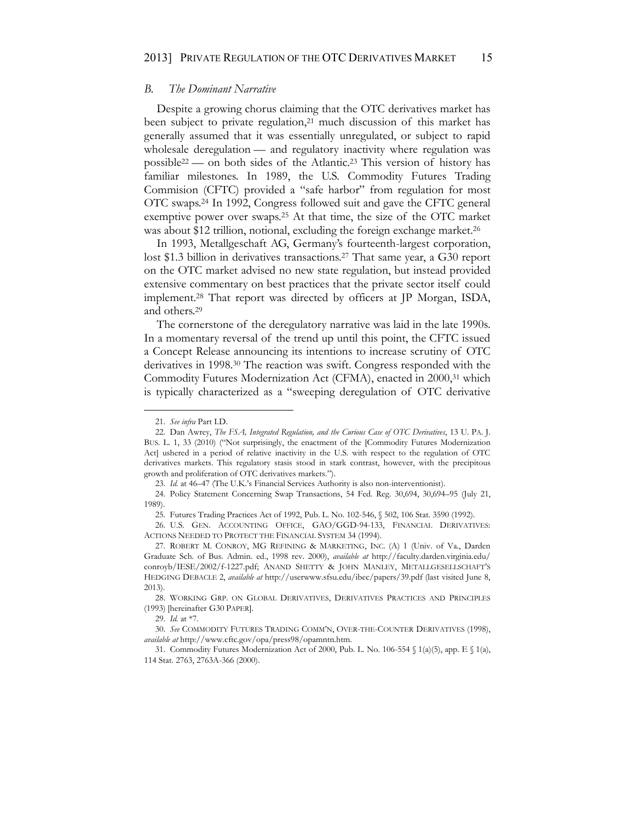#### *B. The Dominant Narrative*

Despite a growing chorus claiming that the OTC derivatives market has been subject to private regulation,<sup>21</sup> much discussion of this market has generally assumed that it was essentially unregulated, or subject to rapid wholesale deregulation — and regulatory inactivity where regulation was possible22 — on both sides of the Atlantic.23 This version of history has familiar milestones. In 1989, the U.S. Commodity Futures Trading Commision (CFTC) provided a "safe harbor" from regulation for most OTC swaps.24 In 1992, Congress followed suit and gave the CFTC general exemptive power over swaps.25 At that time, the size of the OTC market was about \$12 trillion, notional, excluding the foreign exchange market.<sup>26</sup>

In 1993, Metallgeschaft AG, Germany's fourteenth-largest corporation, lost \$1.3 billion in derivatives transactions.<sup>27</sup> That same year, a G30 report on the OTC market advised no new state regulation, but instead provided extensive commentary on best practices that the private sector itself could implement.28 That report was directed by officers at JP Morgan, ISDA, and others.29

The cornerstone of the deregulatory narrative was laid in the late 1990s. In a momentary reversal of the trend up until this point, the CFTC issued a Concept Release announcing its intentions to increase scrutiny of OTC derivatives in 1998.30 The reaction was swift. Congress responded with the Commodity Futures Modernization Act (CFMA), enacted in 2000,<sup>31</sup> which is typically characterized as a "sweeping deregulation of OTC derivative

<sup>21.</sup> *See infra* Part I.D.

<sup>22.</sup> Dan Awrey, *The FSA, Integrated Regulation, and the Curious Case of OTC Derivatives*, 13 U. PA. J. BUS. L. 1, 33 (2010) ("Not surprisingly, the enactment of the [Commodity Futures Modernization Act] ushered in a period of relative inactivity in the U.S. with respect to the regulation of OTC derivatives markets. This regulatory stasis stood in stark contrast, however, with the precipitous growth and proliferation of OTC derivatives markets.").

<sup>23.</sup> *Id.* at 46–47 (The U.K.'s Financial Services Authority is also non-interventionist).

<sup>24.</sup> Policy Statement Concerning Swap Transactions, 54 Fed. Reg. 30,694, 30,694–95 (July 21, 1989).

<sup>25.</sup> Futures Trading Practices Act of 1992, Pub. L. No. 102-546, § 502, 106 Stat. 3590 (1992).

<sup>26.</sup> U.S. GEN. ACCOUNTING OFFICE, GAO/GGD-94-133, FINANCIAL DERIVATIVES: ACTIONS NEEDED TO PROTECT THE FINANCIAL SYSTEM 34 (1994).

<sup>27.</sup> ROBERT M. CONROY, MG REFINING & MARKETING, INC. (A) 1 (Univ. of Va., Darden Graduate Sch. of Bus. Admin. ed., 1998 rev. 2000), *available at* http://faculty.darden.virginia.edu/ conroyb/IESE/2002/f-1227.pdf; ANAND SHETTY & JOHN MANLEY, METALLGESELLSCHAFT'S HEDGING DEBACLE 2, *available at* http://userwww.sfsu.edu/ibec/papers/39.pdf (last visited June 8, 2013).

<sup>28.</sup> WORKING GRP. ON GLOBAL DERIVATIVES, DERIVATIVES PRACTICES AND PRINCIPLES (1993) [hereinafter G30 PAPER].

<sup>29.</sup> *Id.* at \*7.

<sup>30.</sup> *See* COMMODITY FUTURES TRADING COMM'N, OVER-THE-COUNTER DERIVATIVES (1998), *available at* http://www.cftc.gov/opa/press98/opamntn.htm.

<sup>31.</sup> Commodity Futures Modernization Act of 2000, Pub. L. No. 106-554  $\int$  1(a)(5), app. E  $\int$  1(a), 114 Stat. 2763, 2763A-366 (2000).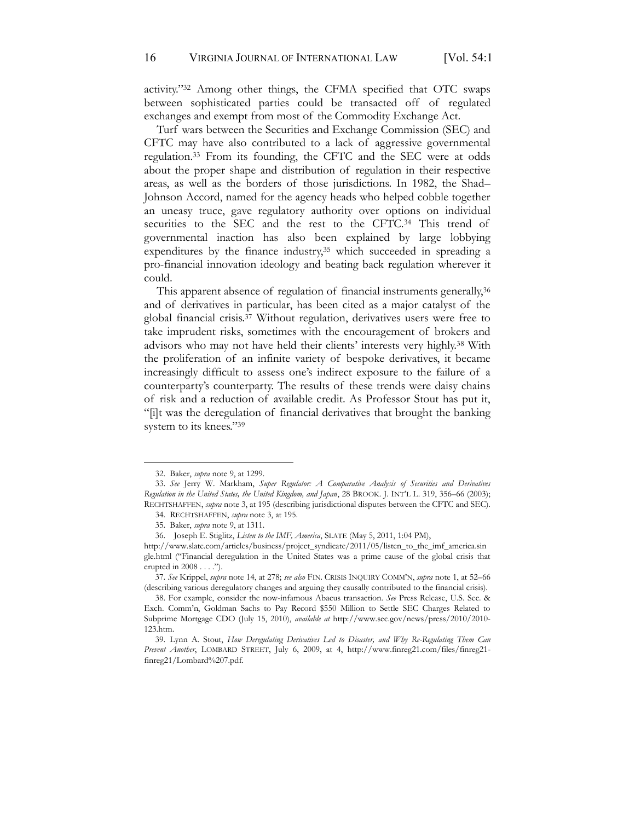activity."<sup>32</sup> Among other things, the CFMA specified that OTC swaps between sophisticated parties could be transacted off of regulated exchanges and exempt from most of the Commodity Exchange Act.

Turf wars between the Securities and Exchange Commission (SEC) and CFTC may have also contributed to a lack of aggressive governmental regulation.33 From its founding, the CFTC and the SEC were at odds about the proper shape and distribution of regulation in their respective areas, as well as the borders of those jurisdictions. In 1982, the Shad– Johnson Accord, named for the agency heads who helped cobble together an uneasy truce, gave regulatory authority over options on individual securities to the SEC and the rest to the CFTC.34 This trend of governmental inaction has also been explained by large lobbying expenditures by the finance industry,<sup>35</sup> which succeeded in spreading a pro-financial innovation ideology and beating back regulation wherever it could.

This apparent absence of regulation of financial instruments generally,<sup>36</sup> and of derivatives in particular, has been cited as a major catalyst of the global financial crisis.37 Without regulation, derivatives users were free to take imprudent risks, sometimes with the encouragement of brokers and advisors who may not have held their clients' interests very highly.<sup>38</sup> With the proliferation of an infinite variety of bespoke derivatives, it became increasingly difficult to assess one's indirect exposure to the failure of a counterparty's counterparty. The results of these trends were daisy chains of risk and a reduction of available credit. As Professor Stout has put it, "[i]t was the deregulation of financial derivatives that brought the banking system to its knees."<sup>39</sup>

<sup>32.</sup> Baker, *supra* note 9, at 1299.

<sup>33.</sup> *See* Jerry W. Markham, *Super Regulator: A Comparative Analysis of Securities and Derivatives Regulation in the United States, the United Kingdom, and Japan*, 28 BROOK. J. INT'L L. 319, 356–66 (2003); RECHTSHAFFEN, *supra* note 3, at 195 (describing jurisdictional disputes between the CFTC and SEC).

<sup>34.</sup> RECHTSHAFFEN, *supra* note 3, at 195.

<sup>35.</sup> Baker, *supra* note 9, at 1311.

<sup>36.</sup> Joseph E. Stiglitz, *Listen to the IMF, America*, SLATE (May 5, 2011, 1:04 PM),

http://www.slate.com/articles/business/project\_syndicate/2011/05/listen\_to\_the\_imf\_america.sin gle.html ("Financial deregulation in the United States was a prime cause of the global crisis that erupted in 2008 . . . .").

<sup>37.</sup> *See* Krippel, *supra* note 14, at 278; *see also* FIN. CRISIS INQUIRY COMM'N, *supra* note 1, at 52–66 (describing various deregulatory changes and arguing they causally contributed to the financial crisis).

<sup>38.</sup> For example, consider the now-infamous Abacus transaction. *See* Press Release, U.S. Sec. & Exch. Comm'n, Goldman Sachs to Pay Record \$550 Million to Settle SEC Charges Related to Subprime Mortgage CDO (July 15, 2010), *available at* http://www.sec.gov/news/press/2010/2010- 123.htm.

<sup>39.</sup> Lynn A. Stout, *How Deregulating Derivatives Led to Disaster, and Why Re-Regulating Them Can Prevent Another*, LOMBARD STREET, July 6, 2009, at 4, http://www.finreg21.com/files/finreg21 finreg21/Lombard%207.pdf.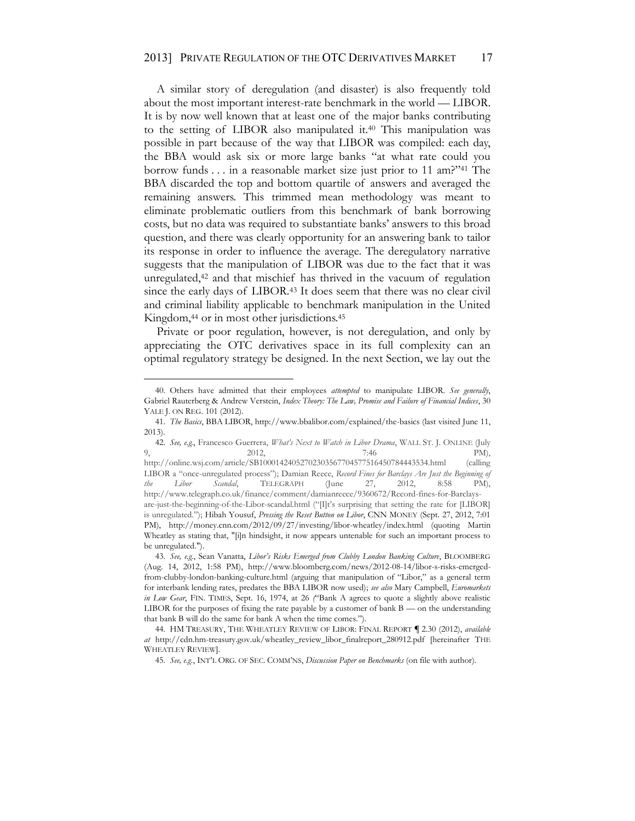A similar story of deregulation (and disaster) is also frequently told about the most important interest-rate benchmark in the world — LIBOR. It is by now well known that at least one of the major banks contributing to the setting of LIBOR also manipulated it.<sup>40</sup> This manipulation was possible in part because of the way that LIBOR was compiled: each day, the BBA would ask six or more large banks "at what rate could you borrow funds . . . in a reasonable market size just prior to 11 am?"<sup>41</sup> The BBA discarded the top and bottom quartile of answers and averaged the remaining answers. This trimmed mean methodology was meant to eliminate problematic outliers from this benchmark of bank borrowing costs, but no data was required to substantiate banks' answers to this broad question, and there was clearly opportunity for an answering bank to tailor its response in order to influence the average. The deregulatory narrative suggests that the manipulation of LIBOR was due to the fact that it was unregulated,42 and that mischief has thrived in the vacuum of regulation since the early days of LIBOR.<sup>43</sup> It does seem that there was no clear civil and criminal liability applicable to benchmark manipulation in the United Kingdom,<sup>44</sup> or in most other jurisdictions.<sup>45</sup>

Private or poor regulation, however, is not deregulation, and only by appreciating the OTC derivatives space in its full complexity can an optimal regulatory strategy be designed. In the next Section, we lay out the

<sup>40.</sup> Others have admitted that their employees *attempted* to manipulate LIBOR. *See generally*, Gabriel Rauterberg & Andrew Verstein, *Index Theory: The Law, Promise and Failure of Financial Indices*, 30 YALE J. ON REG. 101 (2012).

<sup>41.</sup> *The Basics*, BBA LIBOR, http://www.bbalibor.com/explained/the-basics (last visited June 11, 2013).

<sup>42.</sup> *See, e.g.*, Francesco Guerrera, *What's Next to Watch in Libor Drama*, WALL ST. J. ONLINE (July 9, 2012,  $2012$ ,  $7:46$  PM), http://online.wsj.com/article/SB10001424052702303567704577516450784443534.html (calling LIBOR a "once-unregulated process"); Damian Reece, *Record Fines for Barclays Are Just the Beginning of the Libor Scandal*, TELEGRAPH (June 27, 2012, 8:58 PM), http://www.telegraph.co.uk/finance/comment/damianreece/9360672/Record-fines-for-Barclaysare-just-the-beginning-of-the-Libor-scandal.html ("[I]t's surprising that setting the rate for [LIBOR] is unregulated."); Hibah Yousuf, *Pressing the Reset Button on Libor*, CNN MONEY (Sept. 27, 2012, 7:01 PM), http://money.cnn.com/2012/09/27/investing/libor-wheatley/index.html (quoting Martin Wheatley as stating that, "[i]n hindsight, it now appears untenable for such an important process to be unregulated.").

<sup>43.</sup> *See, e.g.*, Sean Vanatta, *Libor's Risks Emerged from Clubby London Banking Culture*, BLOOMBERG (Aug. 14, 2012, 1:58 PM), http://www.bloomberg.com/news/2012-08-14/libor-s-risks-emergedfrom-clubby-london-banking-culture.html (arguing that manipulation of "Libor," as a general term for interbank lending rates, predates the BBA LIBOR now used); *see also* Mary Campbell, *Euromarkets in Low Gear*, FIN. TIMES, Sept. 16, 1974, at 26 *(*"Bank A agrees to quote a slightly above realistic LIBOR for the purposes of fixing the rate payable by a customer of bank B — on the understanding that bank B will do the same for bank A when the time comes.").

<sup>44.</sup> HM TREASURY, THE WHEATLEY REVIEW OF LIBOR: FINAL REPORT **¶** 2.30 (2012), *available at* http://cdn.hm-treasury.gov.uk/wheatley\_review\_libor\_finalreport\_280912.pdf [hereinafter THE WHEATLEY REVIEW].

<sup>45.</sup> *See, e.g.*, INT'L ORG. OF SEC. COMM'NS, *Discussion Paper on Benchmarks* (on file with author).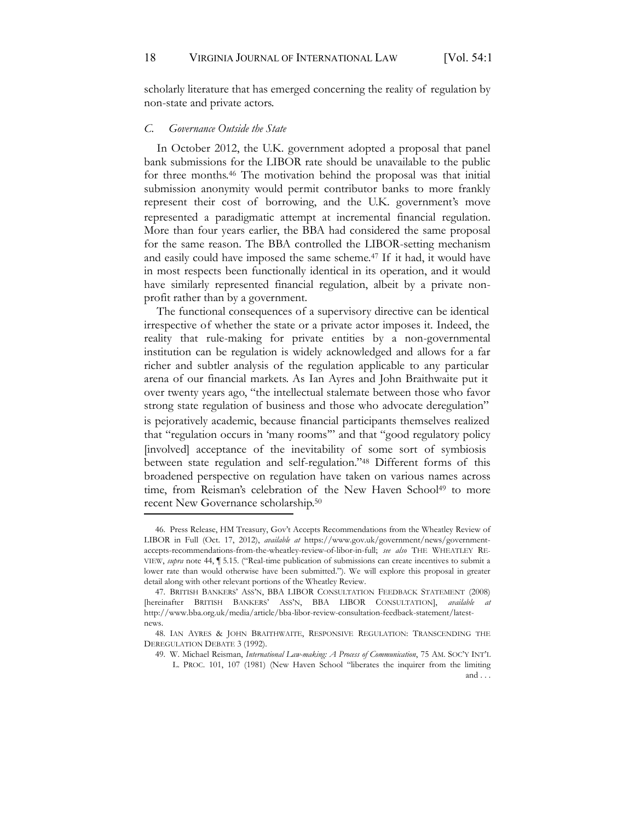scholarly literature that has emerged concerning the reality of regulation by non-state and private actors.

#### *C. Governance Outside the State*

In October 2012, the U.K. government adopted a proposal that panel bank submissions for the LIBOR rate should be unavailable to the public for three months.<sup>46</sup> The motivation behind the proposal was that initial submission anonymity would permit contributor banks to more frankly represent their cost of borrowing, and the U.K. government's move represented a paradigmatic attempt at incremental financial regulation. More than four years earlier, the BBA had considered the same proposal for the same reason. The BBA controlled the LIBOR-setting mechanism and easily could have imposed the same scheme.<sup>47</sup> If it had, it would have in most respects been functionally identical in its operation, and it would have similarly represented financial regulation, albeit by a private nonprofit rather than by a government.

The functional consequences of a supervisory directive can be identical irrespective of whether the state or a private actor imposes it. Indeed, the reality that rule-making for private entities by a non-governmental institution can be regulation is widely acknowledged and allows for a far richer and subtler analysis of the regulation applicable to any particular arena of our financial markets. As Ian Ayres and John Braithwaite put it over twenty years ago, "the intellectual stalemate between those who favor strong state regulation of business and those who advocate deregulation" is pejoratively academic, because financial participants themselves realized that "regulation occurs in 'many rooms'" and that "good regulatory policy [involved] acceptance of the inevitability of some sort of symbiosis between state regulation and self-regulation."<sup>48</sup> Different forms of this broadened perspective on regulation have taken on various names across time, from Reisman's celebration of the New Haven School<sup>49</sup> to more recent New Governance scholarship. 50

<sup>46.</sup> Press Release, HM Treasury, Gov't Accepts Recommendations from the Wheatley Review of LIBOR in Full (Oct. 17, 2012), *available at* https://www.gov.uk/government/news/governmentaccepts-recommendations-from-the-wheatley-review-of-libor-in-full; *see also* THE WHEATLEY RE-VIEW, *supra* note 44, ¶ 5.15. ("Real-time publication of submissions can create incentives to submit a lower rate than would otherwise have been submitted."). We will explore this proposal in greater detail along with other relevant portions of the Wheatley Review.

<sup>47.</sup> BRITISH BANKERS' ASS'N, BBA LIBOR CONSULTATION FEEDBACK STATEMENT (2008) [hereinafter BRITISH BANKERS' ASS'N, BBA LIBOR CONSULTATION], *available at*  http://www.bba.org.uk/media/article/bba-libor-review-consultation-feedback-statement/latestnews.

<sup>48.</sup> IAN AYRES & JOHN BRAITHWAITE, RESPONSIVE REGULATION: TRANSCENDING THE DEREGULATION DEBATE 3 (1992).

<sup>49.</sup> W. Michael Reisman, *International Law-making: A Process of Communication*, 75 AM. SOC'Y INT'L

L. PROC. 101, 107 (1981) (New Haven School "liberates the inquirer from the limiting and . . .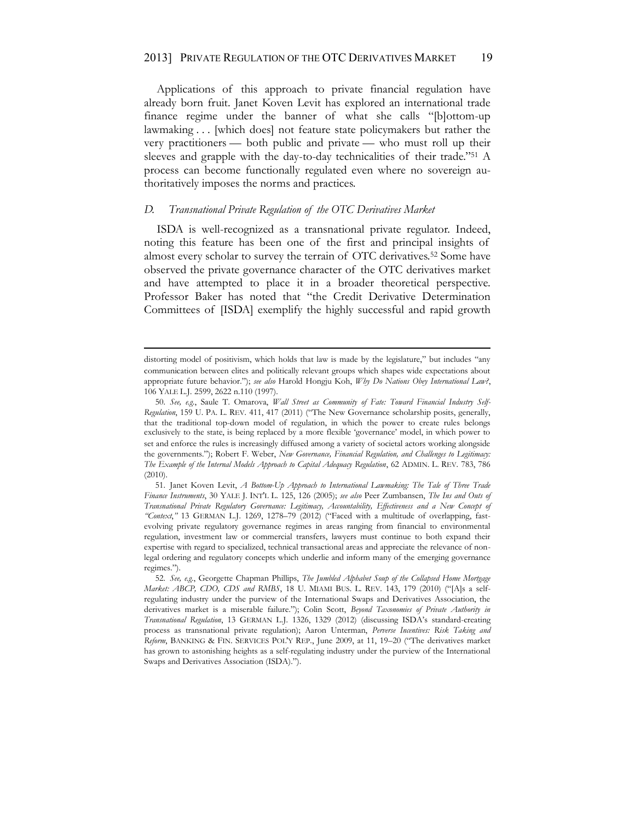Applications of this approach to private financial regulation have already born fruit. Janet Koven Levit has explored an international trade finance regime under the banner of what she calls "[b]ottom-up lawmaking . . . [which does] not feature state policymakers but rather the very practitioners — both public and private — who must roll up their sleeves and grapple with the day-to-day technicalities of their trade."<sup>51</sup> A process can become functionally regulated even where no sovereign authoritatively imposes the norms and practices.

#### *D. Transnational Private Regulation of the OTC Derivatives Market*

ISDA is well-recognized as a transnational private regulator. Indeed, noting this feature has been one of the first and principal insights of almost every scholar to survey the terrain of OTC derivatives.<sup>52</sup> Some have observed the private governance character of the OTC derivatives market and have attempted to place it in a broader theoretical perspective. Professor Baker has noted that "the Credit Derivative Determination Committees of [ISDA] exemplify the highly successful and rapid growth

distorting model of positivism, which holds that law is made by the legislature," but includes "any communication between elites and politically relevant groups which shapes wide expectations about appropriate future behavior."); *see also* Harold Hongju Koh, *Why Do Nations Obey International Law?*, 106 YALE L.J. 2599, 2622 n.110 (1997).

<sup>50.</sup> *See, e.g.*, Saule T. Omarova, *Wall Street as Community of Fate: Toward Financial Industry Self-Regulation*, 159 U. PA. L. REV. 411, 417 (2011) ("The New Governance scholarship posits, generally, that the traditional top-down model of regulation, in which the power to create rules belongs exclusively to the state, is being replaced by a more flexible 'governance' model, in which power to set and enforce the rules is increasingly diffused among a variety of societal actors working alongside the governments."); Robert F. Weber, *New Governance, Financial Regulation, and Challenges to Legitimacy: The Example of the Internal Models Approach to Capital Adequacy Regulation*, 62 ADMIN. L. REV. 783, 786 (2010).

<sup>51.</sup> Janet Koven Levit, *A Bottom-Up Approach to International Lawmaking: The Tale of Three Trade Finance Instruments*, 30 YALE J. INT'L L. 125, 126 (2005); *see also* Peer Zumbansen, *The Ins and Outs of Transnational Private Regulatory Governance: Legitimacy, Accountability, Effectiveness and a New Concept of "Context*,*"* 13 GERMAN L.J. 1269, 1278–79 (2012) ("Faced with a multitude of overlapping, fastevolving private regulatory governance regimes in areas ranging from financial to environmental regulation, investment law or commercial transfers, lawyers must continue to both expand their expertise with regard to specialized, technical transactional areas and appreciate the relevance of nonlegal ordering and regulatory concepts which underlie and inform many of the emerging governance regimes.").

<sup>52.</sup> *See, e.g.*, Georgette Chapman Phillips, *The Jumbled Alphabet Soup of the Collapsed Home Mortgage Market: ABCP, CDO, CDS and RMBS*, 18 U. MIAMI BUS. L. REV. 143, 179 (2010) ("[A]s a selfregulating industry under the purview of the International Swaps and Derivatives Association, the derivatives market is a miserable failure."); Colin Scott, *Beyond Taxonomies of Private Authority in Transnational Regulation*, 13 GERMAN L.J. 1326, 1329 (2012) (discussing ISDA's standard-creating process as transnational private regulation); Aaron Unterman, *Perverse Incentives: Risk Taking and Reform*, BANKING & FIN. SERVICES POL'Y REP., June 2009, at 11, 19–20 ("The derivatives market has grown to astonishing heights as a self-regulating industry under the purview of the International Swaps and Derivatives Association (ISDA).").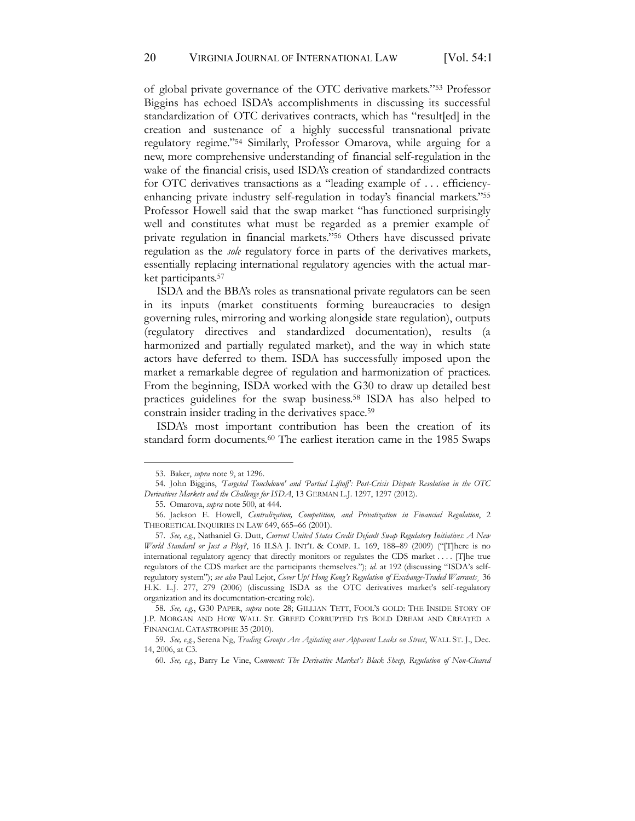of global private governance of the OTC derivative markets."<sup>53</sup> Professor Biggins has echoed ISDA's accomplishments in discussing its successful standardization of OTC derivatives contracts, which has "result[ed] in the creation and sustenance of a highly successful transnational private regulatory regime."<sup>54</sup> Similarly, Professor Omarova, while arguing for a new, more comprehensive understanding of financial self-regulation in the wake of the financial crisis, used ISDA's creation of standardized contracts for OTC derivatives transactions as a "leading example of . . . efficiencyenhancing private industry self-regulation in today's financial markets."<sup>55</sup> Professor Howell said that the swap market "has functioned surprisingly well and constitutes what must be regarded as a premier example of private regulation in financial markets."<sup>56</sup> Others have discussed private regulation as the *sole* regulatory force in parts of the derivatives markets, essentially replacing international regulatory agencies with the actual market participants. 57

ISDA and the BBA's roles as transnational private regulators can be seen in its inputs (market constituents forming bureaucracies to design governing rules, mirroring and working alongside state regulation), outputs (regulatory directives and standardized documentation), results (a harmonized and partially regulated market), and the way in which state actors have deferred to them. ISDA has successfully imposed upon the market a remarkable degree of regulation and harmonization of practices. From the beginning, ISDA worked with the G30 to draw up detailed best practices guidelines for the swap business.58 ISDA has also helped to constrain insider trading in the derivatives space.59

ISDA's most important contribution has been the creation of its standard form documents.<sup>60</sup> The earliest iteration came in the 1985 Swaps

58. *See, e.g.*, G30 PAPER, *supra* note 28; GILLIAN TETT, FOOL'S GOLD: THE INSIDE STORY OF J.P. MORGAN AND HOW WALL ST. GREED CORRUPTED ITS BOLD DREAM AND CREATED A FINANCIAL CATASTROPHE 35 (2010).

<sup>53.</sup> Baker, *supra* note 9, at 1296.

<sup>54.</sup> John Biggins, *'Targeted Touchdown' and 'Partial Liftoff': Post-Crisis Dispute Resolution in the OTC Derivatives Markets and the Challenge for ISDA*, 13 GERMAN L.J. 1297, 1297 (2012).

<sup>55.</sup> Omarova, *supra* note 500, at 444.

<sup>56.</sup> Jackson E. Howell, *Centralization, Competition, and Privatization in Financial Regulation*, 2 THEORETICAL INQUIRIES IN LAW 649, 665–66 (2001).

<sup>57.</sup> *See, e.g.*, Nathaniel G. Dutt, *Current United States Credit Default Swap Regulatory Initiatives: A New World Standard or Just a Ploy?*, 16 ILSA J. INT'L & COMP. L. 169, 188–89 (2009) ("[T]here is no international regulatory agency that directly monitors or regulates the CDS market . . . . [T]he true regulators of the CDS market are the participants themselves."); *id.* at 192 (discussing "ISDA's selfregulatory system"); *see also* Paul Lejot, *Cover Up! Hong Kong's Regulation of Exchange-Traded Warrants*¸ 36 H.K. L.J. 277, 279 (2006) (discussing ISDA as the OTC derivatives market's self-regulatory organization and its documentation-creating role).

<sup>59.</sup> *See, e.g.*, Serena Ng, *Trading Groups Are Agitating over Apparent Leaks on Street*, WALL ST. J., Dec. 14, 2006, at C3.

<sup>60.</sup> *See, e.g.*, Barry Le Vine, C*omment: The Derivative Market's Black Sheep, Regulation of Non-Cleared*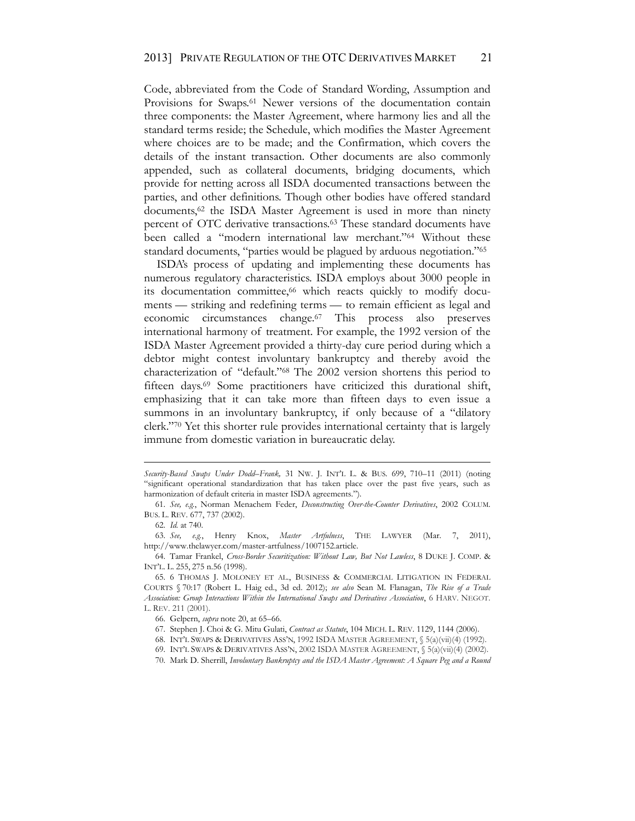Code, abbreviated from the Code of Standard Wording, Assumption and Provisions for Swaps.<sup>61</sup> Newer versions of the documentation contain three components: the Master Agreement, where harmony lies and all the standard terms reside; the Schedule, which modifies the Master Agreement where choices are to be made; and the Confirmation, which covers the details of the instant transaction. Other documents are also commonly appended, such as collateral documents, bridging documents, which provide for netting across all ISDA documented transactions between the parties, and other definitions. Though other bodies have offered standard documents,<sup>62</sup> the ISDA Master Agreement is used in more than ninety percent of OTC derivative transactions.63 These standard documents have been called a "modern international law merchant."<sup>64</sup> Without these standard documents, "parties would be plagued by arduous negotiation."<sup>65</sup>

ISDA's process of updating and implementing these documents has numerous regulatory characteristics. ISDA employs about 3000 people in its documentation committee,<sup>66</sup> which reacts quickly to modify documents — striking and redefining terms — to remain efficient as legal and economic circumstances change.67 This process also preserves international harmony of treatment. For example, the 1992 version of the ISDA Master Agreement provided a thirty-day cure period during which a debtor might contest involuntary bankruptcy and thereby avoid the characterization of "default."<sup>68</sup> The 2002 version shortens this period to fifteen days.69 Some practitioners have criticized this durational shift, emphasizing that it can take more than fifteen days to even issue a summons in an involuntary bankruptcy, if only because of a "dilatory clerk."<sup>70</sup> Yet this shorter rule provides international certainty that is largely immune from domestic variation in bureaucratic delay.

*Security-Based Swaps Under Dodd–Frank,* 31 NW. J. INT'L L. & BUS. 699, 710–11 (2011) (noting "significant operational standardization that has taken place over the past five years, such as harmonization of default criteria in master ISDA agreements.").

<sup>61.</sup> *See, e.g.*, Norman Menachem Feder, *Deconstructing Over-the-Counter Derivatives*, 2002 COLUM. BUS. L. REV. 677, 737 (2002).

<sup>62.</sup> *Id.* at 740.

<sup>63.</sup> *See, e.g.*, Henry Knox, *Master Artfulness*, THE LAWYER (Mar. 7, 2011), http://www.thelawyer.com/master-artfulness/1007152.article.

<sup>64.</sup> Tamar Frankel, *Cross-Border Securitization: Without Law, But Not Lawless*, 8 DUKE J. COMP. & INT'L. L. 255, 275 n.56 (1998).

<sup>65.</sup> 6 THOMAS J. MOLONEY ET AL., BUSINESS & COMMERCIAL LITIGATION IN FEDERAL COURTS § 70:17 (Robert L. Haig ed., 3d ed. 2012); *see also* Sean M. Flanagan, *The Rise of a Trade Association: Group Interactions Within the International Swaps and Derivatives Association*, 6 HARV. NEGOT. L. REV. 211 (2001).

<sup>66.</sup> Gelpern, *supra* note 20, at 65–66.

<sup>67.</sup> Stephen J. Choi & G. Mitu Gulati, *Contract as Statute*, 104 MICH. L. REV. 1129, 1144 (2006).

<sup>68.</sup> INT'L SWAPS & DERIVATIVES ASS'N, 1992 ISDA MASTER AGREEMENT, § 5(a)(vii)(4) (1992).

<sup>69.</sup> INT'L SWAPS & DERIVATIVES ASS'N, 2002 ISDA MASTER AGREEMENT, § 5(a)(vii)(4) (2002).

<sup>70.</sup> Mark D. Sherrill, *Involuntary Bankruptcy and the ISDA Master Agreement: A Square Peg and a Round*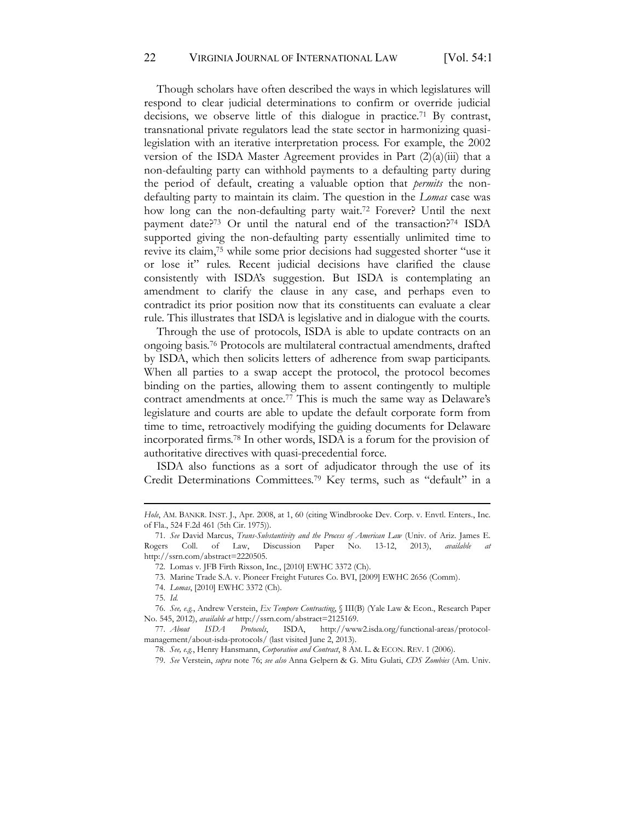Though scholars have often described the ways in which legislatures will respond to clear judicial determinations to confirm or override judicial decisions, we observe little of this dialogue in practice.<sup>71</sup> By contrast, transnational private regulators lead the state sector in harmonizing quasilegislation with an iterative interpretation process. For example, the 2002 version of the ISDA Master Agreement provides in Part  $(2)(a)(iii)$  that a non-defaulting party can withhold payments to a defaulting party during the period of default, creating a valuable option that *permits* the nondefaulting party to maintain its claim. The question in the *Lomas* case was how long can the non-defaulting party wait.<sup>72</sup> Forever? Until the next payment date?73 Or until the natural end of the transaction?74 ISDA supported giving the non-defaulting party essentially unlimited time to revive its claim,75 while some prior decisions had suggested shorter "use it or lose it" rules. Recent judicial decisions have clarified the clause consistently with ISDA's suggestion. But ISDA is contemplating an amendment to clarify the clause in any case, and perhaps even to contradict its prior position now that its constituents can evaluate a clear rule. This illustrates that ISDA is legislative and in dialogue with the courts.

Through the use of protocols, ISDA is able to update contracts on an ongoing basis.76 Protocols are multilateral contractual amendments, drafted by ISDA, which then solicits letters of adherence from swap participants. When all parties to a swap accept the protocol, the protocol becomes binding on the parties, allowing them to assent contingently to multiple contract amendments at once.77 This is much the same way as Delaware's legislature and courts are able to update the default corporate form from time to time, retroactively modifying the guiding documents for Delaware incorporated firms.78 In other words, ISDA is a forum for the provision of authoritative directives with quasi-precedential force.

ISDA also functions as a sort of adjudicator through the use of its Credit Determinations Committees.79 Key terms, such as "default" in a

*Hole*, AM. BANKR. INST. J., Apr. 2008, at 1, 60 (citing Windbrooke Dev. Corp. v. Envtl. Enters., Inc. of Fla., 524 F.2d 461 (5th Cir. 1975)).

<sup>71.</sup> *See* David Marcus, *Trans-Substantivity and the Process of American Law* (Univ. of Ariz. James E. Rogers Coll. of Law, Discussion Paper No. 13-12, 2013), *available* http://ssrn.com/abstract=2220505.

<sup>72.</sup> Lomas v. JFB Firth Rixson, Inc., [2010] EWHC 3372 (Ch).

<sup>73.</sup> Marine Trade S.A. v. Pioneer Freight Futures Co. BVI, [2009] EWHC 2656 (Comm).

<sup>74.</sup> *Lomas*, [2010] EWHC 3372 (Ch).

<sup>75.</sup> *Id.*

<sup>76.</sup> *See, e.g.*, Andrew Verstein, *Ex Tempore Contracting*, § III(B) (Yale Law & Econ., Research Paper No. 545, 2012), *available at* http://ssrn.com/abstract=2125169.

<sup>77.</sup> *About ISDA Protocols*, ISDA, http://www2.isda.org/functional-areas/protocolmanagement/about-isda-protocols/ (last visited June 2, 2013).

<sup>78.</sup> *See, e.g.*, Henry Hansmann, *Corporation and Contract*, 8 AM. L. & ECON. REV. 1 (2006).

<sup>79.</sup> *See* Verstein, *supra* note 76; *see also* Anna Gelpern & G. Mitu Gulati, *CDS Zombies* (Am. Univ.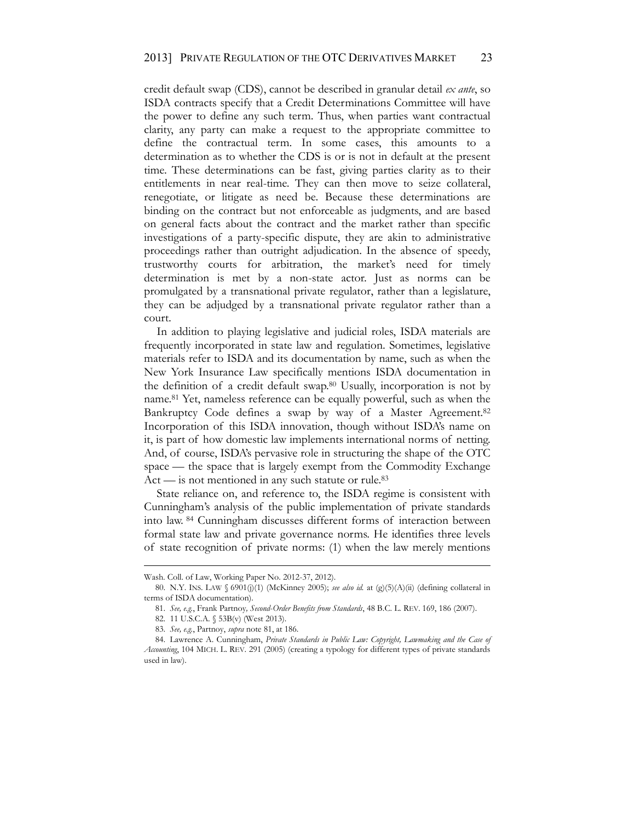credit default swap (CDS), cannot be described in granular detail *ex ante*, so ISDA contracts specify that a Credit Determinations Committee will have the power to define any such term. Thus, when parties want contractual clarity, any party can make a request to the appropriate committee to define the contractual term. In some cases, this amounts to a determination as to whether the CDS is or is not in default at the present time. These determinations can be fast, giving parties clarity as to their entitlements in near real-time. They can then move to seize collateral, renegotiate, or litigate as need be. Because these determinations are binding on the contract but not enforceable as judgments, and are based on general facts about the contract and the market rather than specific investigations of a party-specific dispute, they are akin to administrative proceedings rather than outright adjudication. In the absence of speedy, trustworthy courts for arbitration, the market's need for timely determination is met by a non-state actor. Just as norms can be promulgated by a transnational private regulator, rather than a legislature, they can be adjudged by a transnational private regulator rather than a court.

In addition to playing legislative and judicial roles, ISDA materials are frequently incorporated in state law and regulation. Sometimes, legislative materials refer to ISDA and its documentation by name, such as when the New York Insurance Law specifically mentions ISDA documentation in the definition of a credit default swap.80 Usually, incorporation is not by name.81 Yet, nameless reference can be equally powerful, such as when the Bankruptcy Code defines a swap by way of a Master Agreement.<sup>82</sup> Incorporation of this ISDA innovation, though without ISDA's name on it, is part of how domestic law implements international norms of netting. And, of course, ISDA's pervasive role in structuring the shape of the OTC space — the space that is largely exempt from the Commodity Exchange  $Act$  — is not mentioned in any such statute or rule.<sup>83</sup>

State reliance on, and reference to, the ISDA regime is consistent with Cunningham's analysis of the public implementation of private standards into law. <sup>84</sup> Cunningham discusses different forms of interaction between formal state law and private governance norms. He identifies three levels of state recognition of private norms: (1) when the law merely mentions

Wash. Coll. of Law, Working Paper No. 2012-37, 2012).

<sup>80.</sup> N.Y. INS. LAW § 6901(j)(1) (McKinney 2005); *see also id.* at (g)(5)(A)(ii) (defining collateral in terms of ISDA documentation).

<sup>81.</sup> *See, e.g.*, Frank Partnoy*, Second*-*Order Benefits from Standards*, 48 B.C. L. REV. 169, 186 (2007).

<sup>82.</sup> 11 U.S.C.A. § 53B(v) (West 2013).

<sup>83.</sup> *See, e.g.*, Partnoy, *supra* note 81, at 186.

<sup>84.</sup> Lawrence A. Cunningham, *Private Standards in Public Law: Copyright, Lawmaking and the Case of Accounting*, 104 MICH. L. REV. 291 (2005) (creating a typology for different types of private standards used in law).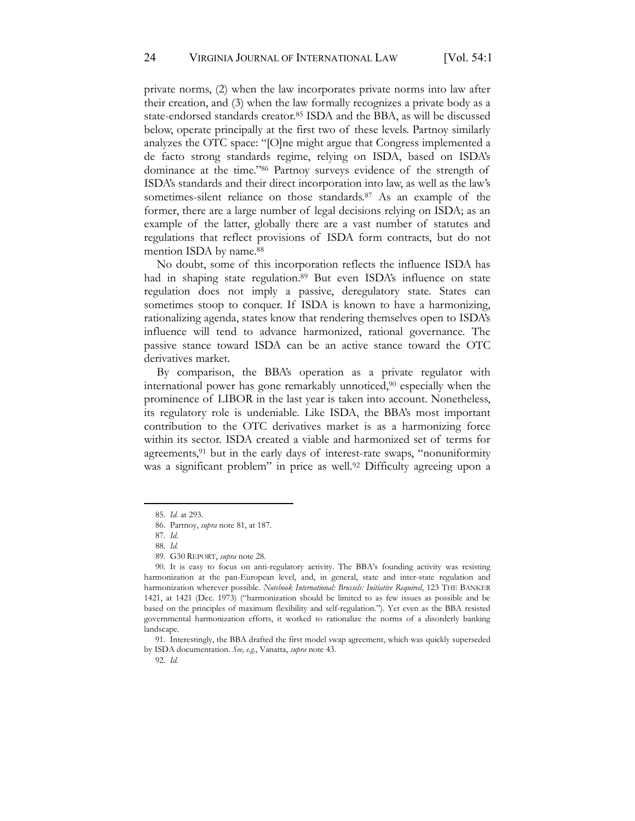private norms, (2) when the law incorporates private norms into law after their creation, and (3) when the law formally recognizes a private body as a state-endorsed standards creator.85 ISDA and the BBA, as will be discussed below, operate principally at the first two of these levels. Partnoy similarly analyzes the OTC space: "[O]ne might argue that Congress implemented a de facto strong standards regime, relying on ISDA, based on ISDA's dominance at the time."<sup>86</sup> Partnoy surveys evidence of the strength of ISDA's standards and their direct incorporation into law, as well as the law's sometimes-silent reliance on those standards.<sup>87</sup> As an example of the former, there are a large number of legal decisions relying on ISDA; as an example of the latter, globally there are a vast number of statutes and regulations that reflect provisions of ISDA form contracts, but do not mention ISDA by name.<sup>88</sup>

No doubt, some of this incorporation reflects the influence ISDA has had in shaping state regulation.<sup>89</sup> But even ISDA's influence on state regulation does not imply a passive, deregulatory state. States can sometimes stoop to conquer. If ISDA is known to have a harmonizing, rationalizing agenda, states know that rendering themselves open to ISDA's influence will tend to advance harmonized, rational governance. The passive stance toward ISDA can be an active stance toward the OTC derivatives market.

By comparison, the BBA's operation as a private regulator with international power has gone remarkably unnoticed,90 especially when the prominence of LIBOR in the last year is taken into account. Nonetheless, its regulatory role is undeniable. Like ISDA, the BBA's most important contribution to the OTC derivatives market is as a harmonizing force within its sector. ISDA created a viable and harmonized set of terms for agreements,<sup>91</sup> but in the early days of interest-rate swaps, "nonuniformity was a significant problem" in price as well.<sup>92</sup> Difficulty agreeing upon a

92. *Id.*

<sup>85.</sup> *Id.* at 293.

<sup>86.</sup> Partnoy, *supra* note 81, at 187.

<sup>87.</sup> *Id.*

<sup>88.</sup> *Id.*

<sup>89.</sup> G30 REPORT, *supra* note 28.

<sup>90.</sup> It is easy to focus on anti-regulatory activity. The BBA's founding activity was resisting harmonization at the pan-European level, and, in general, state and inter-state regulation and harmonization wherever possible. *Notebook International: Brussels: Initiative Required*, 123 THE BANKER 1421, at 1421 (Dec. 1973) ("harmonization should be limited to as few issues as possible and be based on the principles of maximum flexibility and self-regulation."). Yet even as the BBA resisted governmental harmonization efforts, it worked to rationalize the norms of a disorderly banking landscape.

<sup>91.</sup> Interestingly, the BBA drafted the first model swap agreement, which was quickly superseded by ISDA documentation. *See, e.g.*, Vanatta, *supra* note 43.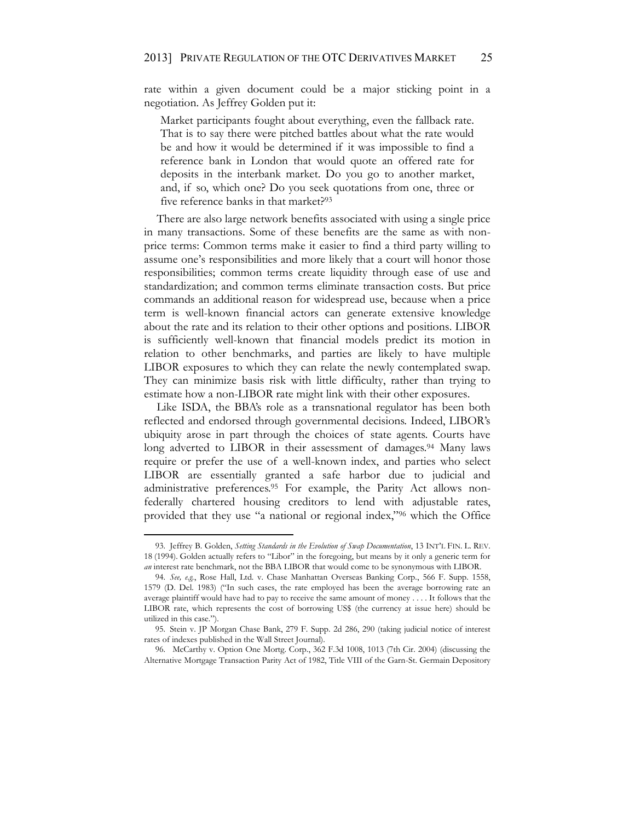rate within a given document could be a major sticking point in a negotiation. As Jeffrey Golden put it:

Market participants fought about everything, even the fallback rate. That is to say there were pitched battles about what the rate would be and how it would be determined if it was impossible to find a reference bank in London that would quote an offered rate for deposits in the interbank market. Do you go to another market, and, if so, which one? Do you seek quotations from one, three or five reference banks in that market?93

There are also large network benefits associated with using a single price in many transactions. Some of these benefits are the same as with nonprice terms: Common terms make it easier to find a third party willing to assume one's responsibilities and more likely that a court will honor those responsibilities; common terms create liquidity through ease of use and standardization; and common terms eliminate transaction costs. But price commands an additional reason for widespread use, because when a price term is well-known financial actors can generate extensive knowledge about the rate and its relation to their other options and positions. LIBOR is sufficiently well-known that financial models predict its motion in relation to other benchmarks, and parties are likely to have multiple LIBOR exposures to which they can relate the newly contemplated swap. They can minimize basis risk with little difficulty, rather than trying to estimate how a non-LIBOR rate might link with their other exposures.

Like ISDA, the BBA's role as a transnational regulator has been both reflected and endorsed through governmental decisions. Indeed, LIBOR's ubiquity arose in part through the choices of state agents. Courts have long adverted to LIBOR in their assessment of damages.<sup>94</sup> Many laws require or prefer the use of a well-known index, and parties who select LIBOR are essentially granted a safe harbor due to judicial and administrative preferences.<sup>95</sup> For example, the Parity Act allows nonfederally chartered housing creditors to lend with adjustable rates, provided that they use "a national or regional index,"<sup>96</sup> which the Office

<sup>93.</sup> Jeffrey B. Golden, *Setting Standards in the Evolution of Swap Documentation*, 13 INT'L FIN. L. REV. 18 (1994). Golden actually refers to "Libor" in the foregoing, but means by it only a generic term for *an* interest rate benchmark, not the BBA LIBOR that would come to be synonymous with LIBOR.

<sup>94.</sup> *See, e.g.*, Rose Hall, Ltd. v. Chase Manhattan Overseas Banking Corp*.*, 566 F. Supp. 1558, 1579 (D. Del. 1983) ("In such cases, the rate employed has been the average borrowing rate an average plaintiff would have had to pay to receive the same amount of money . . . . It follows that the LIBOR rate, which represents the cost of borrowing US\$ (the currency at issue here) should be utilized in this case.").

<sup>95.</sup> Stein v. JP Morgan Chase Bank, 279 F. Supp. 2d 286, 290 (taking judicial notice of interest rates of indexes published in the Wall Street Journal).

<sup>96.</sup> McCarthy v. Option One Mortg. Corp., 362 F.3d 1008, 1013 (7th Cir. 2004) (discussing the Alternative Mortgage Transaction Parity Act of 1982, Title VIII of the Garn-St. Germain Depository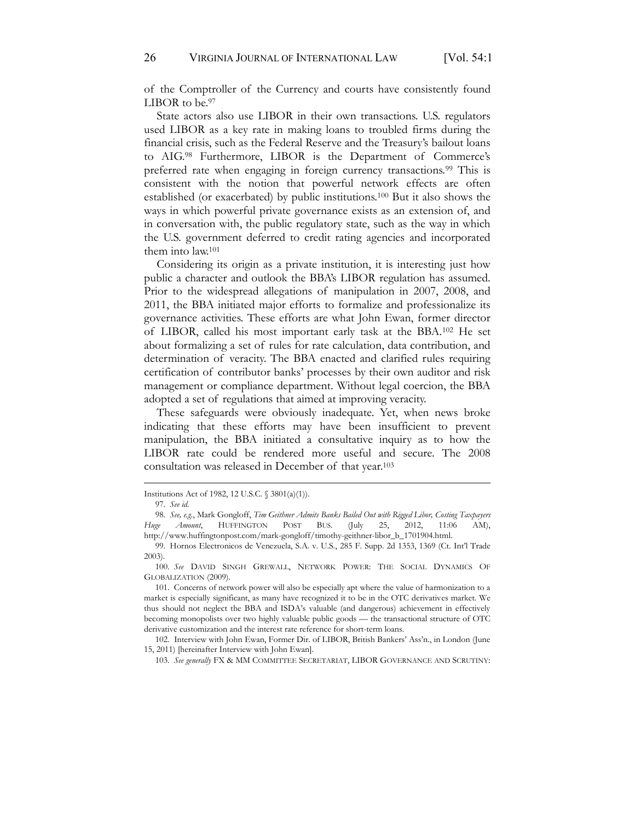of the Comptroller of the Currency and courts have consistently found LIBOR to be.97

State actors also use LIBOR in their own transactions. U.S. regulators used LIBOR as a key rate in making loans to troubled firms during the financial crisis, such as the Federal Reserve and the Treasury's bailout loans to AIG.98 Furthermore, LIBOR is the Department of Commerce's preferred rate when engaging in foreign currency transactions.<sup>99</sup> This is consistent with the notion that powerful network effects are often established (or exacerbated) by public institutions.100 But it also shows the ways in which powerful private governance exists as an extension of, and in conversation with, the public regulatory state, such as the way in which the U.S. government deferred to credit rating agencies and incorporated them into law.101

Considering its origin as a private institution, it is interesting just how public a character and outlook the BBA's LIBOR regulation has assumed. Prior to the widespread allegations of manipulation in 2007, 2008, and 2011, the BBA initiated major efforts to formalize and professionalize its governance activities. These efforts are what John Ewan, former director of LIBOR, called his most important early task at the BBA.102 He set about formalizing a set of rules for rate calculation, data contribution, and determination of veracity. The BBA enacted and clarified rules requiring certification of contributor banks' processes by their own auditor and risk management or compliance department. Without legal coercion, the BBA adopted a set of regulations that aimed at improving veracity.

These safeguards were obviously inadequate. Yet, when news broke indicating that these efforts may have been insufficient to prevent manipulation, the BBA initiated a consultative inquiry as to how the LIBOR rate could be rendered more useful and secure. The 2008 consultation was released in December of that year.103

103. *See generally* FX & MM COMMITTEE SECRETARIAT, LIBOR GOVERNANCE AND SCRUTINY:

Institutions Act of 1982, 12 U.S.C. § 3801(a)(1)).

<sup>97.</sup> *See id.*

<sup>98.</sup> *See, e.g.*, Mark Gongloff, *Tim Geithner Admits Banks Bailed Out with Rigged Libor, Costing Taxpayers Huge Amount*, HUFFINGTON POST BUS. (July 25, 2012, 11:06 AM), http://www.huffingtonpost.com/mark-gongloff/timothy-geithner-libor\_b\_1701904.html.

<sup>99.</sup> Hornos Electronicos de Venezuela, S.A. v. U.S., 285 F. Supp. 2d 1353, 1369 (Ct. Int'l Trade 2003).

<sup>100.</sup> *See* DAVID SINGH GREWALL, NETWORK POWER: THE SOCIAL DYNAMICS OF GLOBALIZATION (2009).

<sup>101.</sup> Concerns of network power will also be especially apt where the value of harmonization to a market is especially significant, as many have recognized it to be in the OTC derivatives market. We thus should not neglect the BBA and ISDA's valuable (and dangerous) achievement in effectively becoming monopolists over two highly valuable public goods — the transactional structure of OTC derivative customization and the interest rate reference for short-term loans.

<sup>102.</sup> Interview with John Ewan, Former Dir. of LIBOR, British Bankers' Ass'n., in London (June 15, 2011) [hereinafter Interview with John Ewan].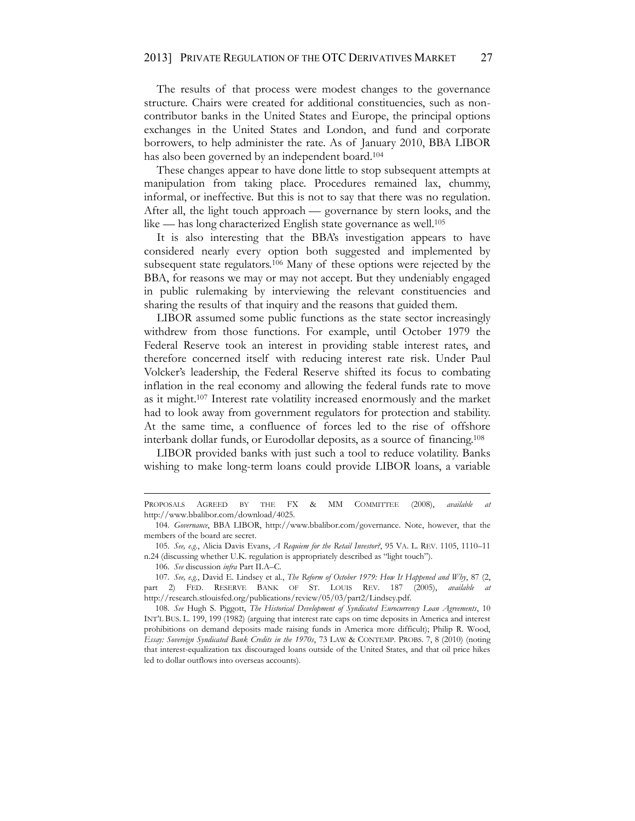The results of that process were modest changes to the governance structure. Chairs were created for additional constituencies, such as noncontributor banks in the United States and Europe, the principal options exchanges in the United States and London, and fund and corporate borrowers, to help administer the rate. As of January 2010, BBA LIBOR has also been governed by an independent board.<sup>104</sup>

These changes appear to have done little to stop subsequent attempts at manipulation from taking place. Procedures remained lax, chummy, informal, or ineffective. But this is not to say that there was no regulation. After all, the light touch approach — governance by stern looks, and the like — has long characterized English state governance as well.105

It is also interesting that the BBA's investigation appears to have considered nearly every option both suggested and implemented by subsequent state regulators.106 Many of these options were rejected by the BBA, for reasons we may or may not accept. But they undeniably engaged in public rulemaking by interviewing the relevant constituencies and sharing the results of that inquiry and the reasons that guided them.

LIBOR assumed some public functions as the state sector increasingly withdrew from those functions. For example, until October 1979 the Federal Reserve took an interest in providing stable interest rates, and therefore concerned itself with reducing interest rate risk. Under Paul Volcker's leadership, the Federal Reserve shifted its focus to combating inflation in the real economy and allowing the federal funds rate to move as it might.107 Interest rate volatility increased enormously and the market had to look away from government regulators for protection and stability. At the same time, a confluence of forces led to the rise of offshore interbank dollar funds, or Eurodollar deposits, as a source of financing.108

LIBOR provided banks with just such a tool to reduce volatility. Banks wishing to make long-term loans could provide LIBOR loans, a variable

PROPOSALS AGREED BY THE FX & MM COMMITTEE (2008), *available at* http://www.bbalibor.com/download/4025.

<sup>104.</sup> *Governance*, BBA LIBOR, http://www.bbalibor.com/governance. Note, however, that the members of the board are secret.

<sup>105.</sup> *See, e.g.*, Alicia Davis Evans, *A Requiem for the Retail Investor?*, 95 VA. L. REV. 1105, 1110–11 n.24 (discussing whether U.K. regulation is appropriately described as "light touch").

<sup>106.</sup> *See* discussion *infra* Part II.A–C*.*

<sup>107.</sup> *See, e.g.*, David E. Lindsey et al., *The Reform of October 1979: How It Happened and Why*, 87 (2, part 2) FED. RESERVE BANK OF ST. LOUIS REV. 187 (2005), available http://research.stlouisfed.org/publications/review/05/03/part2/Lindsey.pdf.

<sup>108.</sup> *See* Hugh S. Piggott, *The Historical Development of Syndicated Eurocurrency Loan Agreements*, 10 INT'L BUS. L. 199, 199 (1982) (arguing that interest rate caps on time deposits in America and interest prohibitions on demand deposits made raising funds in America more difficult); Philip R. Wood, *Essay: Sovereign Syndicated Bank Credits in the 1970s*, 73 LAW & CONTEMP. PROBS. 7, 8 (2010) (noting that interest-equalization tax discouraged loans outside of the United States, and that oil price hikes led to dollar outflows into overseas accounts).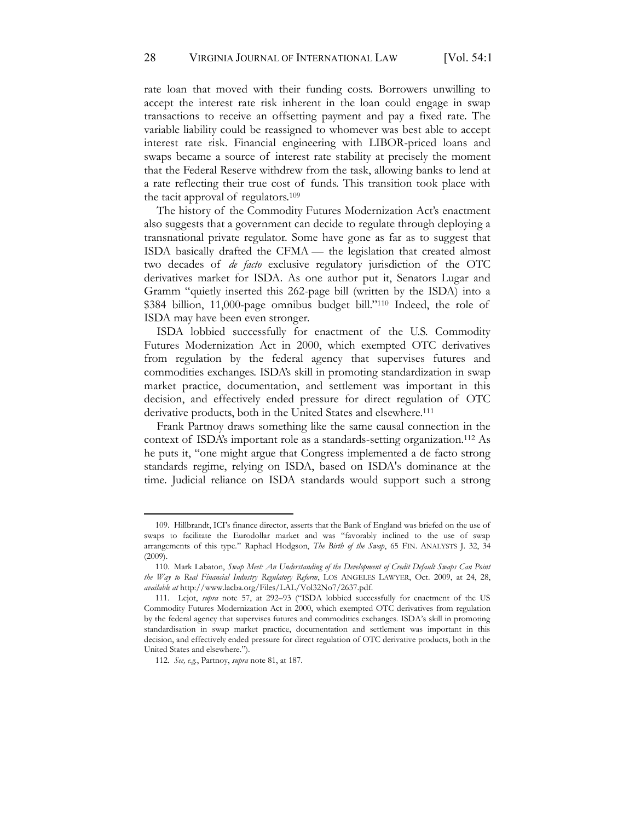rate loan that moved with their funding costs. Borrowers unwilling to accept the interest rate risk inherent in the loan could engage in swap transactions to receive an offsetting payment and pay a fixed rate. The variable liability could be reassigned to whomever was best able to accept interest rate risk. Financial engineering with LIBOR-priced loans and swaps became a source of interest rate stability at precisely the moment that the Federal Reserve withdrew from the task, allowing banks to lend at a rate reflecting their true cost of funds. This transition took place with the tacit approval of regulators.109

The history of the Commodity Futures Modernization Act's enactment also suggests that a government can decide to regulate through deploying a transnational private regulator. Some have gone as far as to suggest that ISDA basically drafted the CFMA — the legislation that created almost two decades of *de facto* exclusive regulatory jurisdiction of the OTC derivatives market for ISDA. As one author put it, Senators Lugar and Gramm "quietly inserted this 262-page bill (written by the ISDA) into a \$384 billion, 11,000-page omnibus budget bill."<sup>110</sup> Indeed, the role of ISDA may have been even stronger.

ISDA lobbied successfully for enactment of the U.S. Commodity Futures Modernization Act in 2000, which exempted OTC derivatives from regulation by the federal agency that supervises futures and commodities exchanges. ISDA's skill in promoting standardization in swap market practice, documentation, and settlement was important in this decision, and effectively ended pressure for direct regulation of OTC derivative products, both in the United States and elsewhere.111

Frank Partnoy draws something like the same causal connection in the context of ISDA's important role as a standards-setting organization.112 As he puts it, "one might argue that Congress implemented a de facto strong standards regime, relying on ISDA, based on ISDA's dominance at the time. Judicial reliance on ISDA standards would support such a strong

<sup>109.</sup> Hillbrandt, ICI's finance director, asserts that the Bank of England was briefed on the use of swaps to facilitate the Eurodollar market and was "favorably inclined to the use of swap arrangements of this type." Raphael Hodgson, *The Birth of the Swap*, 65 FIN. ANALYSTS J. 32, 34 (2009).

<sup>110.</sup> Mark Labaton, *Swap Meet: An Understanding of the Development of Credit Default Swaps Can Point the Way to Real Financial Industry Regulatory Reform*, LOS ANGELES LAWYER, Oct. 2009, at 24, 28, *available at* http://www.lacba.org/Files/LAL/Vol32No7/2637.pdf.

<sup>111.</sup> Lejot, *supra* note 57, at 292–93 ("ISDA lobbied successfully for enactment of the US Commodity Futures Modernization Act in 2000, which exempted OTC derivatives from regulation by the federal agency that supervises futures and commodities exchanges. ISDA's skill in promoting standardisation in swap market practice, documentation and settlement was important in this decision, and effectively ended pressure for direct regulation of OTC derivative products, both in the United States and elsewhere.").

<sup>112.</sup> *See, e.g.*, Partnoy, *supra* note 81, at 187.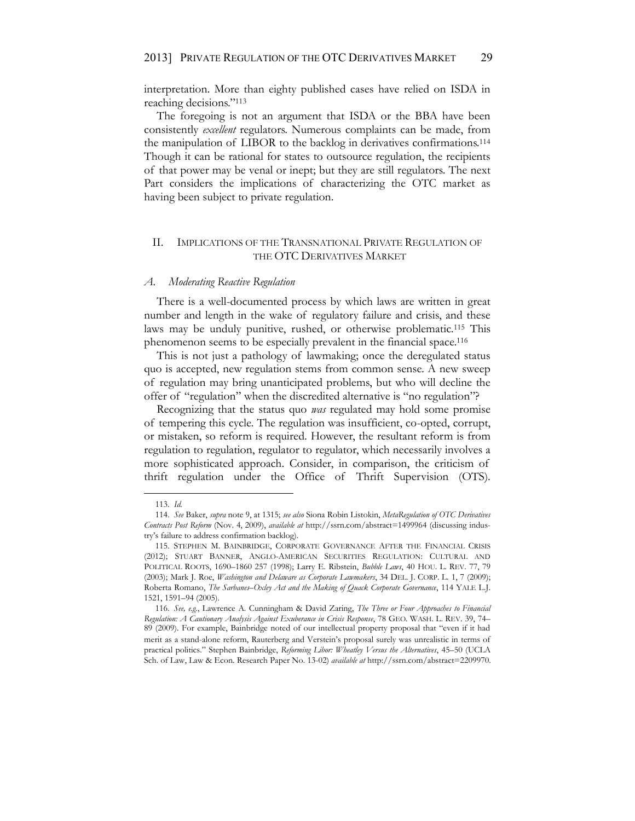interpretation. More than eighty published cases have relied on ISDA in reaching decisions."<sup>113</sup>

The foregoing is not an argument that ISDA or the BBA have been consistently *excellent* regulators. Numerous complaints can be made, from the manipulation of LIBOR to the backlog in derivatives confirmations.114 Though it can be rational for states to outsource regulation, the recipients of that power may be venal or inept; but they are still regulators. The next Part considers the implications of characterizing the OTC market as having been subject to private regulation.

#### II. IMPLICATIONS OF THE TRANSNATIONAL PRIVATE REGULATION OF THE OTC DERIVATIVES MARKET

#### *A. Moderating Reactive Regulation*

There is a well-documented process by which laws are written in great number and length in the wake of regulatory failure and crisis, and these laws may be unduly punitive, rushed, or otherwise problematic.115 This phenomenon seems to be especially prevalent in the financial space.116

This is not just a pathology of lawmaking; once the deregulated status quo is accepted, new regulation stems from common sense. A new sweep of regulation may bring unanticipated problems, but who will decline the offer of "regulation" when the discredited alternative is "no regulation"?

Recognizing that the status quo *was* regulated may hold some promise of tempering this cycle. The regulation was insufficient, co-opted, corrupt, or mistaken, so reform is required. However, the resultant reform is from regulation to regulation, regulator to regulator, which necessarily involves a more sophisticated approach. Consider, in comparison, the criticism of thrift regulation under the Office of Thrift Supervision (OTS).

<sup>113.</sup> *Id.*

<sup>114.</sup> *See* Baker, *supra* note 9, at 1315; *see also* Siona Robin Listokin, *MetaRegulation of OTC Derivatives Contracts Post Reform* (Nov. 4, 2009), *available at* http://ssrn.com/abstract=1499964 (discussing industry's failure to address confirmation backlog).

<sup>115.</sup> STEPHEN M. BAINBRIDGE, CORPORATE GOVERNANCE AFTER THE FINANCIAL CRISIS (2012); STUART BANNER, ANGLO-AMERICAN SECURITIES REGULATION: CULTURAL AND POLITICAL ROOTS, 1690–1860 257 (1998); Larry E. Ribstein, *Bubble Laws*, 40 HOU. L. REV. 77, 79 (2003); Mark J. Roe, *Washington and Delaware as Corporate Lawmakers*, 34 DEL. J. CORP. L. 1, 7 (2009); Roberta Romano, *The Sarbanes–Oxley Act and the Making of Quack Corporate Governance*, 114 YALE L.J. 1521, 1591–94 (2005).

<sup>116.</sup> *See, e.g.*, Lawrence A. Cunningham & David Zaring, *The Three or Four Approaches to Financial Regulation: A Cautionary Analysis Against Exuberance in Crisis Response*, 78 GEO. WASH. L. REV. 39, 74– 89 (2009). For example, Bainbridge noted of our intellectual property proposal that "even if it had merit as a stand-alone reform, Rauterberg and Verstein's proposal surely was unrealistic in terms of practical politics." Stephen Bainbridge, *Reforming Libor: Wheatley Versus the Alternatives*, 45–50 (UCLA Sch. of Law, Law & Econ. Research Paper No. 13-02) *available at* http://ssrn.com/abstract=2209970.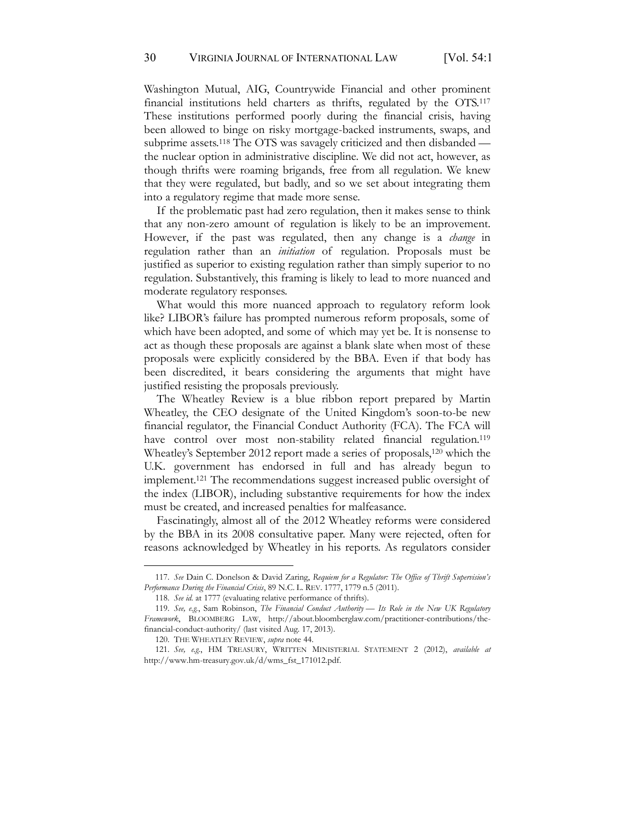Washington Mutual, AIG, Countrywide Financial and other prominent financial institutions held charters as thrifts, regulated by the OTS.117 These institutions performed poorly during the financial crisis, having been allowed to binge on risky mortgage-backed instruments, swaps, and subprime assets.118 The OTS was savagely criticized and then disbanded the nuclear option in administrative discipline. We did not act, however, as though thrifts were roaming brigands, free from all regulation. We knew that they were regulated, but badly, and so we set about integrating them into a regulatory regime that made more sense.

If the problematic past had zero regulation, then it makes sense to think that any non-zero amount of regulation is likely to be an improvement. However, if the past was regulated, then any change is a *change* in regulation rather than an *initiation* of regulation. Proposals must be justified as superior to existing regulation rather than simply superior to no regulation. Substantively, this framing is likely to lead to more nuanced and moderate regulatory responses.

What would this more nuanced approach to regulatory reform look like? LIBOR's failure has prompted numerous reform proposals, some of which have been adopted, and some of which may yet be. It is nonsense to act as though these proposals are against a blank slate when most of these proposals were explicitly considered by the BBA. Even if that body has been discredited, it bears considering the arguments that might have justified resisting the proposals previously.

The Wheatley Review is a blue ribbon report prepared by Martin Wheatley, the CEO designate of the United Kingdom's soon-to-be new financial regulator, the Financial Conduct Authority (FCA). The FCA will have control over most non-stability related financial regulation.<sup>119</sup> Wheatley's September 2012 report made a series of proposals,<sup>120</sup> which the U.K. government has endorsed in full and has already begun to implement.121 The recommendations suggest increased public oversight of the index (LIBOR), including substantive requirements for how the index must be created, and increased penalties for malfeasance.

Fascinatingly, almost all of the 2012 Wheatley reforms were considered by the BBA in its 2008 consultative paper. Many were rejected, often for reasons acknowledged by Wheatley in his reports. As regulators consider

<sup>117.</sup> *See* Dain C. Donelson & David Zaring, *Requiem for a Regulator: The Office of Thrift Supervision's Performance During the Financial Crisis*, 89 N.C. L. REV. 1777, 1779 n.5 (2011).

<sup>118.</sup> *See id.* at 1777 (evaluating relative performance of thrifts).

<sup>119.</sup> *See, e.g.*, Sam Robinson, *The Financial Conduct Authority — Its Role in the New UK Regulatory Framework*, BLOOMBERG LAW, http://about.bloomberglaw.com/practitioner-contributions/thefinancial-conduct-authority/ (last visited Aug. 17, 2013).

<sup>120.</sup> THE WHEATLEY REVIEW, *supra* note 44.

<sup>121.</sup> *See, e.g.*, HM TREASURY, WRITTEN MINISTERIAL STATEMENT 2 (2012), *available at* http://www.hm-treasury.gov.uk/d/wms\_fst\_171012.pdf.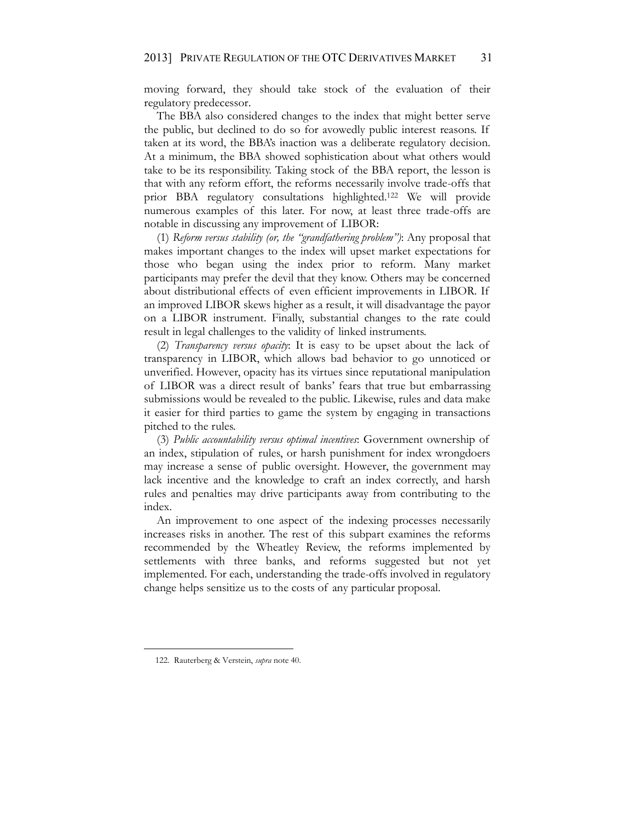moving forward, they should take stock of the evaluation of their regulatory predecessor.

The BBA also considered changes to the index that might better serve the public, but declined to do so for avowedly public interest reasons. If taken at its word, the BBA's inaction was a deliberate regulatory decision. At a minimum, the BBA showed sophistication about what others would take to be its responsibility. Taking stock of the BBA report, the lesson is that with any reform effort, the reforms necessarily involve trade-offs that prior BBA regulatory consultations highlighted.122 We will provide numerous examples of this later. For now, at least three trade-offs are notable in discussing any improvement of LIBOR:

(1) *Reform versus stability (or, the "grandfathering problem")*: Any proposal that makes important changes to the index will upset market expectations for those who began using the index prior to reform. Many market participants may prefer the devil that they know. Others may be concerned about distributional effects of even efficient improvements in LIBOR. If an improved LIBOR skews higher as a result, it will disadvantage the payor on a LIBOR instrument. Finally, substantial changes to the rate could result in legal challenges to the validity of linked instruments.

(2) *Transparency versus opacity*: It is easy to be upset about the lack of transparency in LIBOR, which allows bad behavior to go unnoticed or unverified. However, opacity has its virtues since reputational manipulation of LIBOR was a direct result of banks' fears that true but embarrassing submissions would be revealed to the public. Likewise, rules and data make it easier for third parties to game the system by engaging in transactions pitched to the rules.

(3) *Public accountability versus optimal incentives*: Government ownership of an index, stipulation of rules, or harsh punishment for index wrongdoers may increase a sense of public oversight. However, the government may lack incentive and the knowledge to craft an index correctly, and harsh rules and penalties may drive participants away from contributing to the index.

An improvement to one aspect of the indexing processes necessarily increases risks in another. The rest of this subpart examines the reforms recommended by the Wheatley Review, the reforms implemented by settlements with three banks, and reforms suggested but not yet implemented. For each, understanding the trade-offs involved in regulatory change helps sensitize us to the costs of any particular proposal.

<sup>122.</sup> Rauterberg & Verstein, *supra* note 40.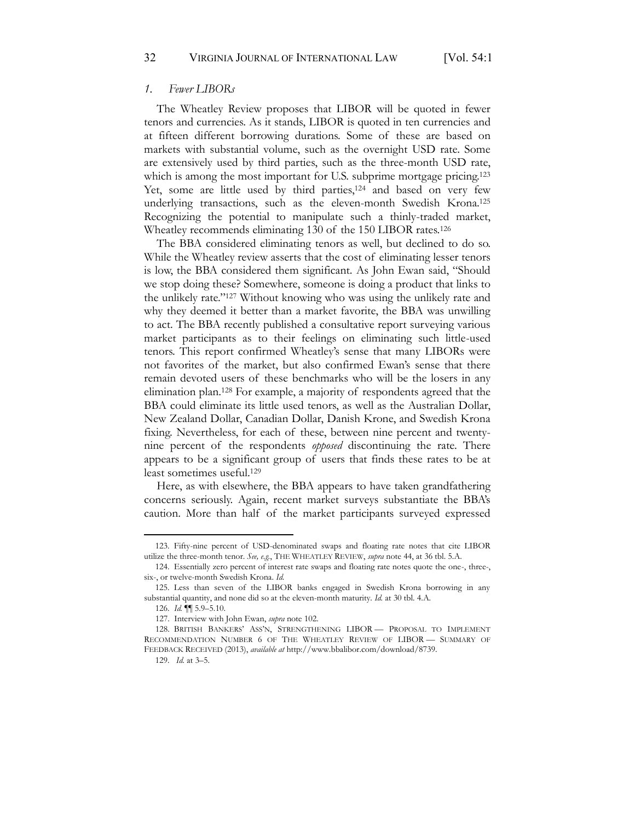#### *1. Fewer LIBORs*

The Wheatley Review proposes that LIBOR will be quoted in fewer tenors and currencies. As it stands, LIBOR is quoted in ten currencies and at fifteen different borrowing durations. Some of these are based on markets with substantial volume, such as the overnight USD rate. Some are extensively used by third parties, such as the three-month USD rate, which is among the most important for U.S. subprime mortgage pricing.<sup>123</sup> Yet, some are little used by third parties, <sup>124</sup> and based on very few underlying transactions, such as the eleven-month Swedish Krona.125 Recognizing the potential to manipulate such a thinly-traded market, Wheatley recommends eliminating 130 of the 150 LIBOR rates.126

The BBA considered eliminating tenors as well, but declined to do so. While the Wheatley review asserts that the cost of eliminating lesser tenors is low, the BBA considered them significant. As John Ewan said, "Should we stop doing these? Somewhere, someone is doing a product that links to the unlikely rate."<sup>127</sup> Without knowing who was using the unlikely rate and why they deemed it better than a market favorite, the BBA was unwilling to act. The BBA recently published a consultative report surveying various market participants as to their feelings on eliminating such little-used tenors. This report confirmed Wheatley's sense that many LIBORs were not favorites of the market, but also confirmed Ewan's sense that there remain devoted users of these benchmarks who will be the losers in any elimination plan.128 For example, a majority of respondents agreed that the BBA could eliminate its little used tenors, as well as the Australian Dollar, New Zealand Dollar, Canadian Dollar, Danish Krone, and Swedish Krona fixing. Nevertheless, for each of these, between nine percent and twentynine percent of the respondents *opposed* discontinuing the rate. There appears to be a significant group of users that finds these rates to be at least sometimes useful.129

Here, as with elsewhere, the BBA appears to have taken grandfathering concerns seriously. Again, recent market surveys substantiate the BBA's caution. More than half of the market participants surveyed expressed

<sup>123.</sup> Fifty-nine percent of USD-denominated swaps and floating rate notes that cite LIBOR utilize the three-month tenor. *See, e.g.*, THE WHEATLEY REVIEW, *supra* note 44, at 36 tbl. 5.A.

<sup>124.</sup> Essentially zero percent of interest rate swaps and floating rate notes quote the one-, three-, six-, or twelve-month Swedish Krona. *Id.*

<sup>125.</sup> Less than seven of the LIBOR banks engaged in Swedish Krona borrowing in any substantial quantity, and none did so at the eleven-month maturity. *Id.* at 30 tbl. 4.A.

<sup>126.</sup> *Id.* ¶¶ 5.9–5.10.

<sup>127.</sup> Interview with John Ewan, *supra* note 102.

<sup>128.</sup> BRITISH BANKERS' ASS'N, STRENGTHENING LIBOR — PROPOSAL TO IMPLEMENT RECOMMENDATION NUMBER 6 OF THE WHEATLEY REVIEW OF LIBOR — SUMMARY OF FEEDBACK RECEIVED (2013), *available at* http://www.bbalibor.com/download/8739.

<sup>129.</sup> *Id.* at 3–5.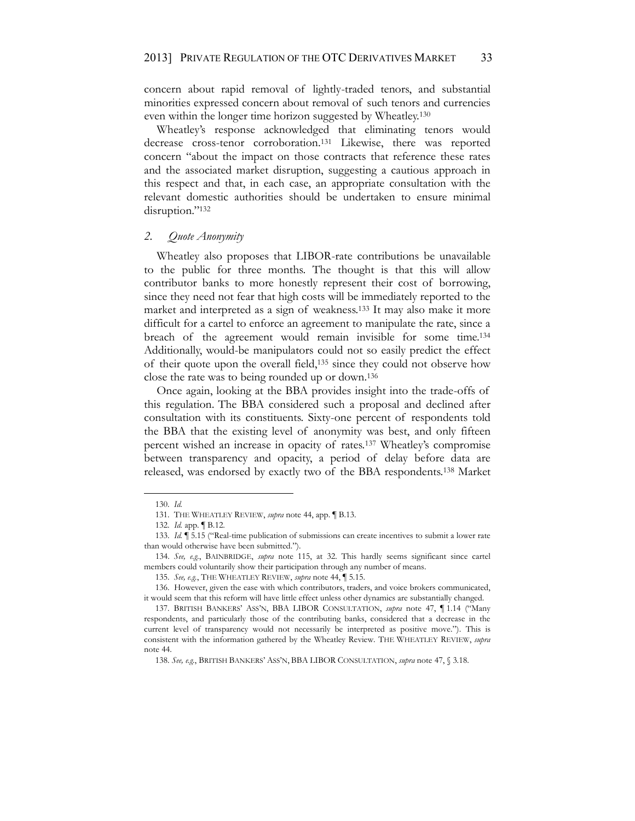concern about rapid removal of lightly-traded tenors, and substantial minorities expressed concern about removal of such tenors and currencies even within the longer time horizon suggested by Wheatley.130

Wheatley's response acknowledged that eliminating tenors would decrease cross-tenor corroboration.131 Likewise, there was reported concern "about the impact on those contracts that reference these rates and the associated market disruption, suggesting a cautious approach in this respect and that, in each case, an appropriate consultation with the relevant domestic authorities should be undertaken to ensure minimal disruption."132

#### *2. Quote Anonymity*

Wheatley also proposes that LIBOR-rate contributions be unavailable to the public for three months. The thought is that this will allow contributor banks to more honestly represent their cost of borrowing, since they need not fear that high costs will be immediately reported to the market and interpreted as a sign of weakness.133 It may also make it more difficult for a cartel to enforce an agreement to manipulate the rate, since a breach of the agreement would remain invisible for some time.134 Additionally, would-be manipulators could not so easily predict the effect of their quote upon the overall field,135 since they could not observe how close the rate was to being rounded up or down.136

Once again, looking at the BBA provides insight into the trade-offs of this regulation. The BBA considered such a proposal and declined after consultation with its constituents. Sixty-one percent of respondents told the BBA that the existing level of anonymity was best, and only fifteen percent wished an increase in opacity of rates.137 Wheatley's compromise between transparency and opacity, a period of delay before data are released, was endorsed by exactly two of the BBA respondents.138 Market

<sup>130.</sup> *Id.*

<sup>131.</sup> THE WHEATLEY REVIEW, *supra* note 44, app. ¶ B.13.

<sup>132.</sup> *Id.* app. ¶ B.12.

<sup>133.</sup> *Id.* ¶ 5.15 ("Real-time publication of submissions can create incentives to submit a lower rate than would otherwise have been submitted.").

<sup>134.</sup> *See, e.g.*, BAINBRIDGE, *supra* note 115, at 32. This hardly seems significant since cartel members could voluntarily show their participation through any number of means.

<sup>135.</sup> *See, e.g.*, THE WHEATLEY REVIEW, *supra* note 44, ¶ 5.15.

<sup>136.</sup> However, given the ease with which contributors, traders, and voice brokers communicated, it would seem that this reform will have little effect unless other dynamics are substantially changed.

<sup>137.</sup> BRITISH BANKERS' ASS'N, BBA LIBOR CONSULTATION, *supra* note 47, ¶ 1.14 ("Many respondents, and particularly those of the contributing banks, considered that a decrease in the current level of transparency would not necessarily be interpreted as positive move."). This is consistent with the information gathered by the Wheatley Review. THE WHEATLEY REVIEW, *supra*  note 44.

<sup>138.</sup> *See, e.g.*, BRITISH BANKERS' ASS'N, BBA LIBOR CONSULTATION, *supra* note 47, § 3.18.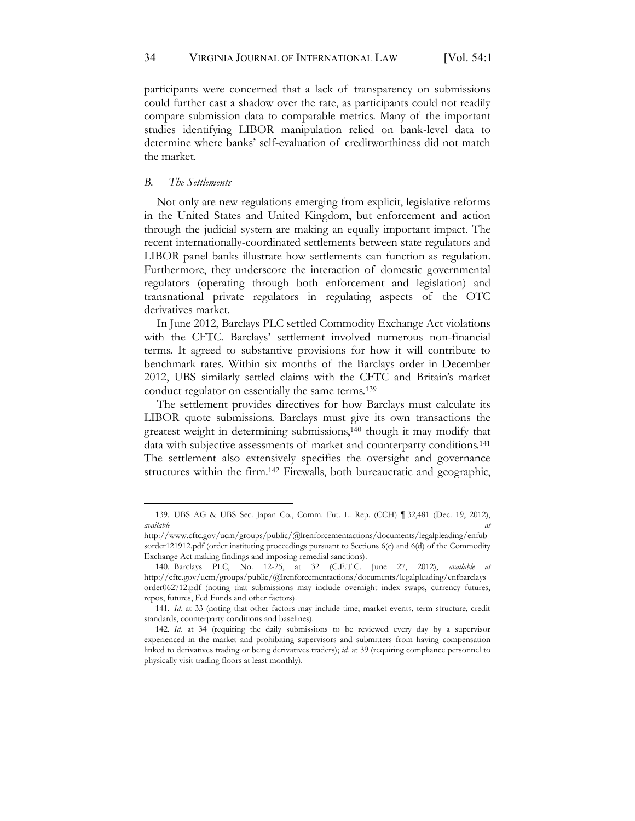participants were concerned that a lack of transparency on submissions could further cast a shadow over the rate, as participants could not readily compare submission data to comparable metrics. Many of the important studies identifying LIBOR manipulation relied on bank-level data to determine where banks' self-evaluation of creditworthiness did not match the market.

#### *B. The Settlements*

Not only are new regulations emerging from explicit, legislative reforms in the United States and United Kingdom, but enforcement and action through the judicial system are making an equally important impact. The recent internationally-coordinated settlements between state regulators and LIBOR panel banks illustrate how settlements can function as regulation. Furthermore, they underscore the interaction of domestic governmental regulators (operating through both enforcement and legislation) and transnational private regulators in regulating aspects of the OTC derivatives market.

In June 2012, Barclays PLC settled Commodity Exchange Act violations with the CFTC. Barclays' settlement involved numerous non-financial terms. It agreed to substantive provisions for how it will contribute to benchmark rates. Within six months of the Barclays order in December 2012, UBS similarly settled claims with the CFTC and Britain's market conduct regulator on essentially the same terms.139

The settlement provides directives for how Barclays must calculate its LIBOR quote submissions. Barclays must give its own transactions the greatest weight in determining submissions,140 though it may modify that data with subjective assessments of market and counterparty conditions.<sup>141</sup> The settlement also extensively specifies the oversight and governance structures within the firm.142 Firewalls, both bureaucratic and geographic,

<sup>139.</sup> UBS AG & UBS Sec. Japan Co., Comm. Fut. L. Rep. (CCH) ¶ 32,481 (Dec. 19, 2012), *available at*

http://www.cftc.gov/ucm/groups/public/@lrenforcementactions/documents/legalpleading/enfub sorder121912.pdf (order instituting proceedings pursuant to Sections 6(c) and 6(d) of the Commodity Exchange Act making findings and imposing remedial sanctions).

<sup>140.</sup> Barclays PLC, No. 12-25, at 32 (C.F.T.C. June 27, 2012), *available at* http://cftc.gov/ucm/groups/public/@lrenforcementactions/documents/legalpleading/enfbarclays order062712.pdf (noting that submissions may include overnight index swaps, currency futures, repos, futures, Fed Funds and other factors).

<sup>141.</sup> *Id.* at 33 (noting that other factors may include time, market events, term structure, credit standards, counterparty conditions and baselines).

<sup>142.</sup> *Id.* at 34 (requiring the daily submissions to be reviewed every day by a supervisor experienced in the market and prohibiting supervisors and submitters from having compensation linked to derivatives trading or being derivatives traders); *id.* at 39 (requiring compliance personnel to physically visit trading floors at least monthly).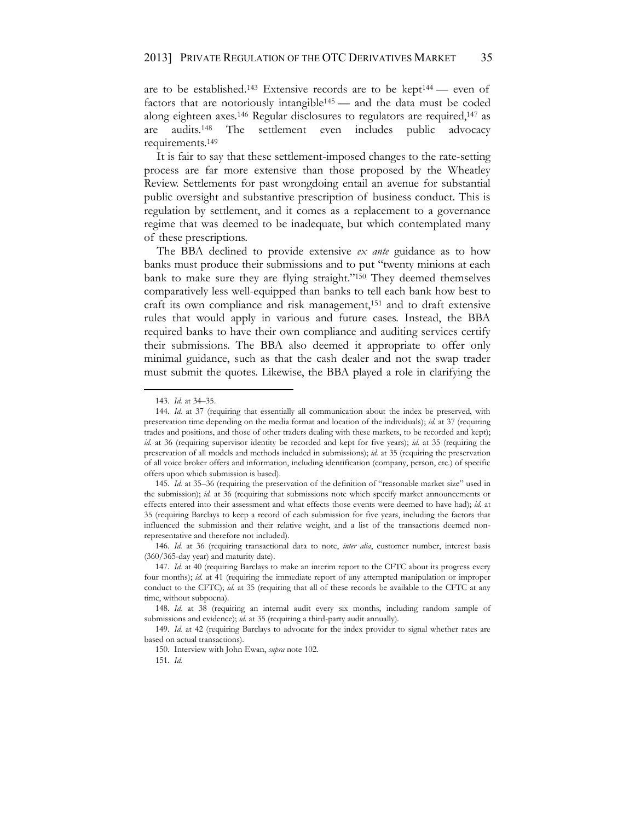are to be established.<sup>143</sup> Extensive records are to be kept<sup>144</sup> — even of factors that are notoriously intangible145 — and the data must be coded along eighteen axes.146 Regular disclosures to regulators are required,147 as are audits.148 The settlement even includes public advocacy requirements.149

It is fair to say that these settlement-imposed changes to the rate-setting process are far more extensive than those proposed by the Wheatley Review. Settlements for past wrongdoing entail an avenue for substantial public oversight and substantive prescription of business conduct. This is regulation by settlement, and it comes as a replacement to a governance regime that was deemed to be inadequate, but which contemplated many of these prescriptions.

The BBA declined to provide extensive *ex ante* guidance as to how banks must produce their submissions and to put "twenty minions at each bank to make sure they are flying straight."<sup>150</sup> They deemed themselves comparatively less well-equipped than banks to tell each bank how best to craft its own compliance and risk management,151 and to draft extensive rules that would apply in various and future cases. Instead, the BBA required banks to have their own compliance and auditing services certify their submissions. The BBA also deemed it appropriate to offer only minimal guidance, such as that the cash dealer and not the swap trader must submit the quotes. Likewise, the BBA played a role in clarifying the

<sup>143.</sup> *Id.* at 34–35.

<sup>144.</sup> *Id.* at 37 (requiring that essentially all communication about the index be preserved, with preservation time depending on the media format and location of the individuals); *id.* at 37 (requiring trades and positions, and those of other traders dealing with these markets, to be recorded and kept); *id.* at 36 (requiring supervisor identity be recorded and kept for five years); *id.* at 35 (requiring the preservation of all models and methods included in submissions); *id.* at 35 (requiring the preservation of all voice broker offers and information, including identification (company, person, etc.) of specific offers upon which submission is based).

<sup>145.</sup> *Id.* at 35–36 (requiring the preservation of the definition of "reasonable market size" used in the submission); *id.* at 36 (requiring that submissions note which specify market announcements or effects entered into their assessment and what effects those events were deemed to have had); *id.* at 35 (requiring Barclays to keep a record of each submission for five years, including the factors that influenced the submission and their relative weight, and a list of the transactions deemed nonrepresentative and therefore not included).

<sup>146.</sup> *Id.* at 36 (requiring transactional data to note, *inter alia*, customer number, interest basis (360/365-day year) and maturity date).

<sup>147.</sup> *Id.* at 40 (requiring Barclays to make an interim report to the CFTC about its progress every four months); *id.* at 41 (requiring the immediate report of any attempted manipulation or improper conduct to the CFTC); *id.* at 35 (requiring that all of these records be available to the CFTC at any time, without subpoena).

<sup>148.</sup> *Id.* at 38 (requiring an internal audit every six months, including random sample of submissions and evidence); *id.* at 35 (requiring a third-party audit annually).

<sup>149.</sup> *Id.* at 42 (requiring Barclays to advocate for the index provider to signal whether rates are based on actual transactions).

<sup>150.</sup> Interview with John Ewan, *supra* note 102.

<sup>151.</sup> *Id.*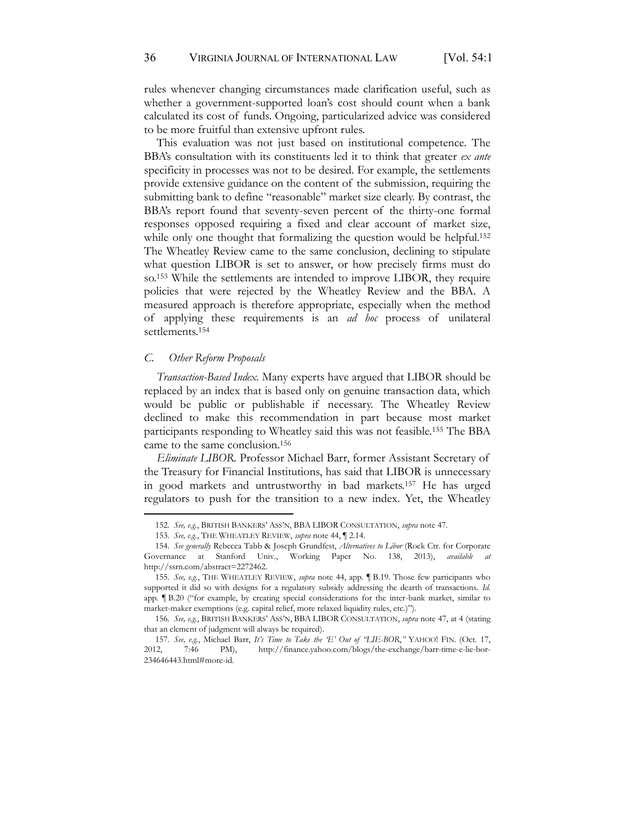rules whenever changing circumstances made clarification useful, such as whether a government-supported loan's cost should count when a bank calculated its cost of funds. Ongoing, particularized advice was considered to be more fruitful than extensive upfront rules.

This evaluation was not just based on institutional competence. The BBA's consultation with its constituents led it to think that greater *ex ante* specificity in processes was not to be desired. For example, the settlements provide extensive guidance on the content of the submission, requiring the submitting bank to define "reasonable" market size clearly. By contrast, the BBA's report found that seventy-seven percent of the thirty-one formal responses opposed requiring a fixed and clear account of market size, while only one thought that formalizing the question would be helpful.<sup>152</sup> The Wheatley Review came to the same conclusion, declining to stipulate what question LIBOR is set to answer, or how precisely firms must do so.153 While the settlements are intended to improve LIBOR, they require policies that were rejected by the Wheatley Review and the BBA. A measured approach is therefore appropriate, especially when the method of applying these requirements is an *ad hoc* process of unilateral settlements.154

#### *C. Other Reform Proposals*

*Transaction-Based Index.* Many experts have argued that LIBOR should be replaced by an index that is based only on genuine transaction data, which would be public or publishable if necessary. The Wheatley Review declined to make this recommendation in part because most market participants responding to Wheatley said this was not feasible.155 The BBA came to the same conclusion.156

*Eliminate LIBOR.* Professor Michael Barr, former Assistant Secretary of the Treasury for Financial Institutions, has said that LIBOR is unnecessary in good markets and untrustworthy in bad markets.157 He has urged regulators to push for the transition to a new index. Yet, the Wheatley

<sup>152.</sup> *See, e.g.*, BRITISH BANKERS' ASS'N, BBA LIBOR CONSULTATION, *supra* note 47.

<sup>153.</sup> *See, e.g.*, THE WHEATLEY REVIEW, *supra* note 44, ¶ 2.14.

<sup>154.</sup> *See generally* Rebecca Tabb & Joseph Grundfest, *Alternatives to Libor* (Rock Ctr. for Corporate Governance at Stanford Univ., Working Paper No. 138, 2013), *available at*  http://ssrn.com/abstract=2272462.

<sup>155.</sup> *See, e.g.*, THE WHEATLEY REVIEW, *supra* note 44, app. ¶ B.19. Those few participants who supported it did so with designs for a regulatory subsidy addressing the dearth of transactions. *Id.* app. ¶ B.20 ("for example, by creating special considerations for the inter-bank market, similar to market-maker exemptions (e.g. capital relief, more relaxed liquidity rules, etc.)").

<sup>156.</sup> *See, e.g.*, BRITISH BANKERS' ASS'N, BBA LIBOR CONSULTATION, *supra* note 47, at 4 (stating that an element of judgment will always be required).

<sup>157.</sup> *See, e.g.*, Michael Barr, *It's Time to Take the 'E' Out of "LIE-BOR*,*"* YAHOO! FIN. (Oct. 17, 2012, 7:46 PM), http://finance.yahoo.com/blogs/the-exchange/barr-time-e-lie-bor-234646443.html#more-id.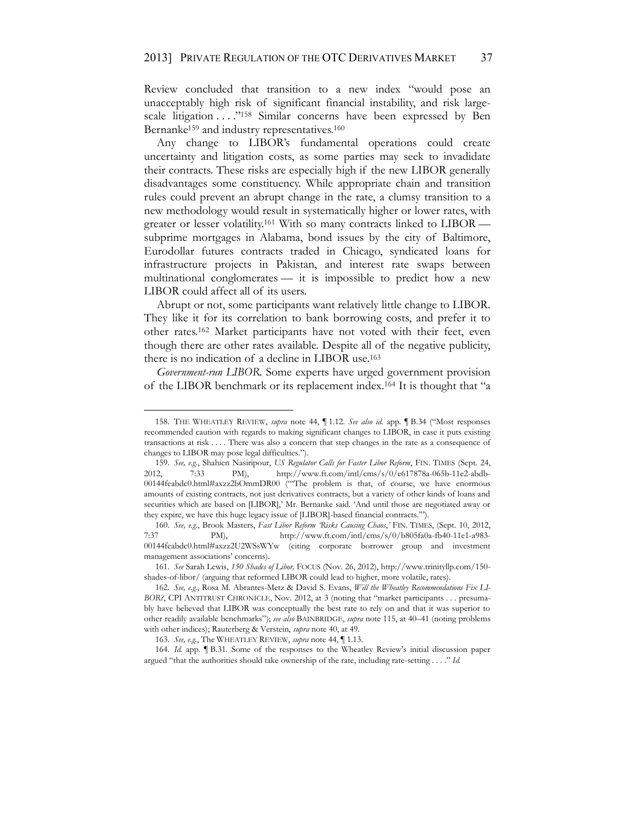Review concluded that transition to a new index "would pose an unacceptably high risk of significant financial instability, and risk largescale litigation . . . . "158 Similar concerns have been expressed by Ben Bernanke<sup>159</sup> and industry representatives.<sup>160</sup>

Any change to LIBOR's fundamental operations could create uncertainty and litigation costs, as some parties may seek to invadidate their contracts. These risks are especially high if the new LIBOR generally disadvantages some constituency. While appropriate chain and transition rules could prevent an abrupt change in the rate, a clumsy transition to a new methodology would result in systematically higher or lower rates, with greater or lesser volatility. <sup>161</sup> With so many contracts linked to LIBOR subprime mortgages in Alabama, bond issues by the city of Baltimore, Eurodollar futures contracts traded in Chicago, syndicated loans for infrastructure projects in Pakistan, and interest rate swaps between multinational conglomerates — it is impossible to predict how a new LIBOR could affect all of its users.

Abrupt or not, some participants want relatively little change to LIBOR. They like it for its correlation to bank borrowing costs, and prefer it to other rates.162 Market participants have not voted with their feet, even though there are other rates available. Despite all of the negative publicity, there is no indication of a decline in LIBOR use.163

*Government-run LIBOR.* Some experts have urged government provision of the LIBOR benchmark or its replacement index.164 It is thought that "a

<sup>158.</sup> THE WHEATLEY REVIEW, *supra* note 44, ¶ 1.12. *See also id.* app. ¶ B.34 ("Most responses recommended caution with regards to making significant changes to LIBOR, in case it puts existing transactions at risk . . . . There was also a concern that step changes in the rate as a consequence of changes to LIBOR may pose legal difficulties.").

<sup>159.</sup> *See, e.g.*, Shahien Nasiripour, *US Regulator Calls for Faster Libor Reform*, FIN. TIMES (Sept. 24, 2012, 7:33 PM), http://www.ft.com/intl/cms/s/0/e617878a-065b-11e2-abdb-00144feabdc0.html#axzz2bOmmDR00 ("'The problem is that, of course, we have enormous amounts of existing contracts, not just derivatives contracts, but a variety of other kinds of loans and securities which are based on [LIBOR],' Mr. Bernanke said. 'And until those are negotiated away or they expire, we have this huge legacy issue of [LIBOR]-based financial contracts.'").

<sup>160.</sup> *See, e.g.*, Brook Masters, *Fast Libor Reform 'Risks Causing Chaos*,*'* FIN. TIMES, (Sept. 10, 2012, 7:37 PM), http://www.ft.com/intl/cms/s/0/b805fa0a-fb40-11e1-a983- 00144feabdc0.html#axzz2U2WSsWYw (citing corporate borrower group and investment management associations' concerns).

<sup>161.</sup> *See* Sarah Lewis, *150 Shades of Libor,* FOCUS (Nov. 26, 2012), http://www.trinityllp.com/150 shades-of-libor/ (arguing that reformed LIBOR could lead to higher, more volatile, rates).

<sup>162.</sup> *See, e.g.*, Rosa M. Abrantes-Metz & David S. Evans, *Will the Wheatley Recommendations Fix LI-BOR?*, CPI ANTITRUST CHRONICLE, Nov. 2012, at 3 (noting that "market participants . . . presumably have believed that LIBOR was conceptually the best rate to rely on and that it was superior to other readily available benchmarks"); *see also* BAINBRIDGE, *supra* note 115, at 40–41 (noting problems with other indices); Rauterberg & Verstein, *supra* note 40, at 49.

<sup>163.</sup> *See, e.g.*, The WHEATLEY REVIEW, *supra* note 44, ¶ 1.13.

<sup>164.</sup> *Id.* app. ¶ B.31. Some of the responses to the Wheatley Review's initial discussion paper argued "that the authorities should take ownership of the rate, including rate-setting . . . ." *Id.*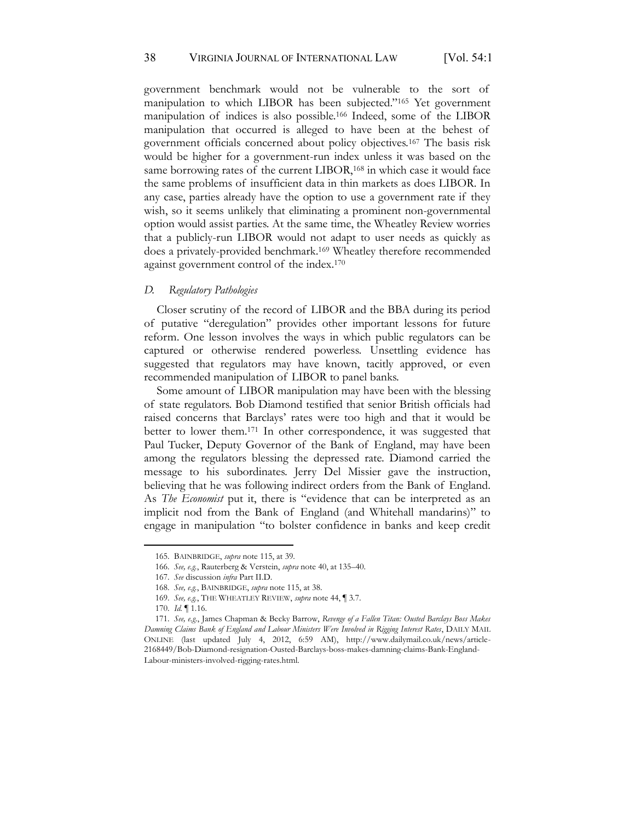#### 38 VIRGINIA JOURNAL OF INTERNATIONAL LAW [Vol. 54:1]

government benchmark would not be vulnerable to the sort of manipulation to which LIBOR has been subjected."<sup>165</sup> Yet government manipulation of indices is also possible.166 Indeed, some of the LIBOR manipulation that occurred is alleged to have been at the behest of government officials concerned about policy objectives.167 The basis risk would be higher for a government-run index unless it was based on the same borrowing rates of the current LIBOR,<sup>168</sup> in which case it would face the same problems of insufficient data in thin markets as does LIBOR. In any case, parties already have the option to use a government rate if they wish, so it seems unlikely that eliminating a prominent non-governmental option would assist parties. At the same time, the Wheatley Review worries that a publicly-run LIBOR would not adapt to user needs as quickly as does a privately-provided benchmark.169 Wheatley therefore recommended against government control of the index.170

#### *D. Regulatory Pathologies*

Closer scrutiny of the record of LIBOR and the BBA during its period of putative "deregulation" provides other important lessons for future reform. One lesson involves the ways in which public regulators can be captured or otherwise rendered powerless. Unsettling evidence has suggested that regulators may have known, tacitly approved, or even recommended manipulation of LIBOR to panel banks.

Some amount of LIBOR manipulation may have been with the blessing of state regulators. Bob Diamond testified that senior British officials had raised concerns that Barclays' rates were too high and that it would be better to lower them.171 In other correspondence, it was suggested that Paul Tucker, Deputy Governor of the Bank of England, may have been among the regulators blessing the depressed rate. Diamond carried the message to his subordinates. Jerry Del Missier gave the instruction, believing that he was following indirect orders from the Bank of England. As *The Economist* put it, there is "evidence that can be interpreted as an implicit nod from the Bank of England (and Whitehall mandarins)" to engage in manipulation "to bolster confidence in banks and keep credit

<sup>165.</sup> BAINBRIDGE, *supra* note 115, at 39.

<sup>166.</sup> *See, e.g.*, Rauterberg & Verstein, *supra* note 40, at 135–40.

<sup>167.</sup> *See* discussion *infra* Part II.D.

<sup>168.</sup> *See, e.g.*, BAINBRIDGE, *supra* note 115, at 38.

<sup>169.</sup> *See, e.g.*, THE WHEATLEY REVIEW, *supra* note 44, ¶ 3.7.

<sup>170.</sup> *Id.* ¶ 1.16.

<sup>171.</sup> *See, e.g.*, James Chapman & Becky Barrow, *Revenge of a Fallen Titan: Ousted Barclays Boss Makes Damning Claims Bank of England and Labour Ministers Were Involved in Rigging Interest Rates*, DAILY MAIL ONLINE (last updated July 4, 2012, 6:59 AM), http://www.dailymail.co.uk/news/article-2168449/Bob-Diamond-resignation-Ousted-Barclays-boss-makes-damning-claims-Bank-England-Labour-ministers-involved-rigging-rates.html.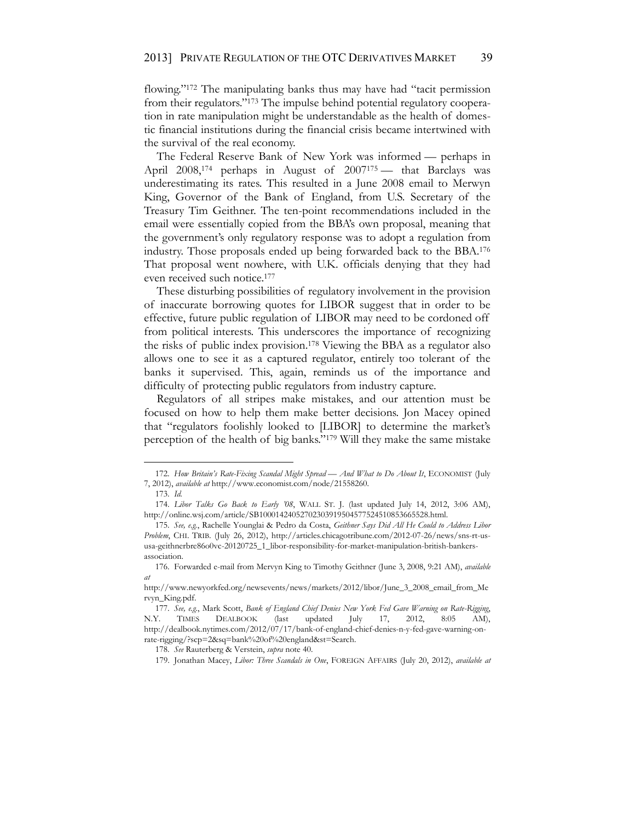flowing."<sup>172</sup> The manipulating banks thus may have had "tacit permission from their regulators."<sup>173</sup> The impulse behind potential regulatory cooperation in rate manipulation might be understandable as the health of domestic financial institutions during the financial crisis became intertwined with the survival of the real economy.

The Federal Reserve Bank of New York was informed — perhaps in April 2008,<sup>174</sup> perhaps in August of 2007<sup>175</sup> — that Barclays was underestimating its rates. This resulted in a June 2008 email to Merwyn King, Governor of the Bank of England, from U.S. Secretary of the Treasury Tim Geithner. The ten-point recommendations included in the email were essentially copied from the BBA's own proposal, meaning that the government's only regulatory response was to adopt a regulation from industry. Those proposals ended up being forwarded back to the BBA.176 That proposal went nowhere, with U.K. officials denying that they had even received such notice.177

These disturbing possibilities of regulatory involvement in the provision of inaccurate borrowing quotes for LIBOR suggest that in order to be effective, future public regulation of LIBOR may need to be cordoned off from political interests. This underscores the importance of recognizing the risks of public index provision.178 Viewing the BBA as a regulator also allows one to see it as a captured regulator, entirely too tolerant of the banks it supervised. This, again, reminds us of the importance and difficulty of protecting public regulators from industry capture.

Regulators of all stripes make mistakes, and our attention must be focused on how to help them make better decisions. Jon Macey opined that "regulators foolishly looked to [LIBOR] to determine the market's perception of the health of big banks."<sup>179</sup> Will they make the same mistake

<sup>172.</sup> *How Britain's Rate-Fixing Scandal Might Spread — And What to Do About It*, ECONOMIST (July 7, 2012), *available at* http://www.economist.com/node/21558260.

<sup>173.</sup> *Id.*

<sup>174.</sup> *Libor Talks Go Back to Early '08*, WALL ST. J. (last updated July 14, 2012, 3:06 AM), http://online.wsj.com/article/SB10001424052702303919504577524510853665528.html.

<sup>175.</sup> *See, e.g.*, Rachelle Younglai & Pedro da Costa, *Geithner Says Did All He Could to Address Libor Problem*, CHI. TRIB. (July 26, 2012), http://articles.chicagotribune.com/2012-07-26/news/sns-rt-ususa-geithnerbre86o0vc-20120725\_1\_libor-responsibility-for-market-manipulation-british-bankersassociation.

<sup>176.</sup> Forwarded e-mail from Mervyn King to Timothy Geithner (June 3, 2008, 9:21 AM), *available at* 

http://www.newyorkfed.org/newsevents/news/markets/2012/libor/June\_3\_2008\_email\_from\_Me rvyn\_King.pdf.

<sup>177.</sup> *See, e.g.*, Mark Scott, *Bank of England Chief Denies New York Fed Gave Warning on Rate-Rigging*, N.Y. TIMES DEALBOOK (last updated July 17, 2012, 8:05 AM), http://dealbook.nytimes.com/2012/07/17/bank-of-england-chief-denies-n-y-fed-gave-warning-onrate-rigging/?scp=2&sq=bank%20of%20england&st=Search.

<sup>178.</sup> *See* Rauterberg & Verstein, *supra* note 40.

<sup>179.</sup> Jonathan Macey, *Libor: Three Scandals in One*, FOREIGN AFFAIRS (July 20, 2012), *available at*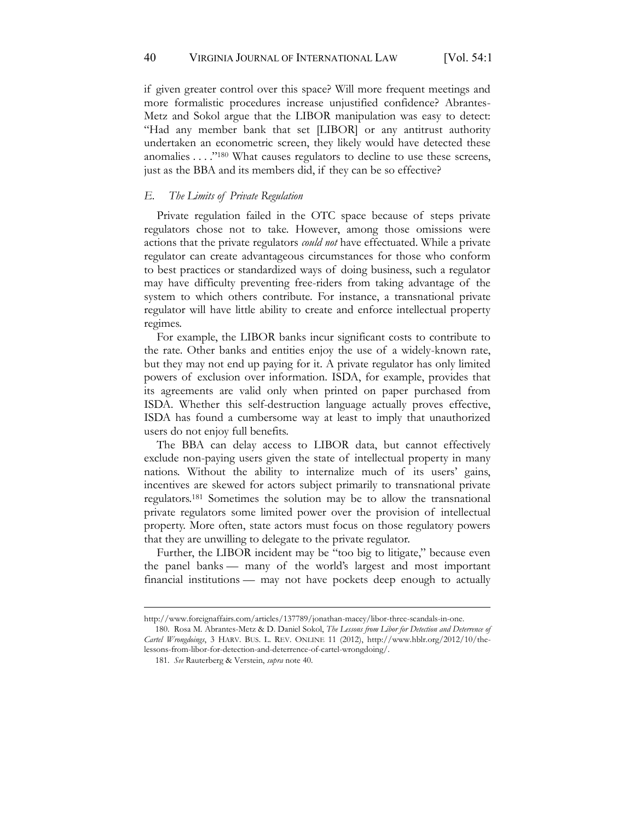if given greater control over this space? Will more frequent meetings and more formalistic procedures increase unjustified confidence? Abrantes-Metz and Sokol argue that the LIBOR manipulation was easy to detect: "Had any member bank that set [LIBOR] or any antitrust authority undertaken an econometric screen, they likely would have detected these anomalies . . . ."<sup>180</sup> What causes regulators to decline to use these screens, just as the BBA and its members did, if they can be so effective?

#### *E. The Limits of Private Regulation*

Private regulation failed in the OTC space because of steps private regulators chose not to take. However, among those omissions were actions that the private regulators *could not* have effectuated. While a private regulator can create advantageous circumstances for those who conform to best practices or standardized ways of doing business, such a regulator may have difficulty preventing free-riders from taking advantage of the system to which others contribute. For instance, a transnational private regulator will have little ability to create and enforce intellectual property regimes.

For example, the LIBOR banks incur significant costs to contribute to the rate. Other banks and entities enjoy the use of a widely-known rate, but they may not end up paying for it. A private regulator has only limited powers of exclusion over information. ISDA, for example, provides that its agreements are valid only when printed on paper purchased from ISDA. Whether this self-destruction language actually proves effective, ISDA has found a cumbersome way at least to imply that unauthorized users do not enjoy full benefits.

The BBA can delay access to LIBOR data, but cannot effectively exclude non-paying users given the state of intellectual property in many nations. Without the ability to internalize much of its users' gains, incentives are skewed for actors subject primarily to transnational private regulators.181 Sometimes the solution may be to allow the transnational private regulators some limited power over the provision of intellectual property. More often, state actors must focus on those regulatory powers that they are unwilling to delegate to the private regulator.

Further, the LIBOR incident may be "too big to litigate," because even the panel banks — many of the world's largest and most important financial institutions — may not have pockets deep enough to actually

http://www.foreignaffairs.com/articles/137789/jonathan-macey/libor-three-scandals-in-one.

<sup>180.</sup> Rosa M. Abrantes-Metz & D. Daniel Sokol, *The Lessons from Libor for Detection and Deterrence of Cartel Wrongdoings*, 3 HARV. BUS. L. REV. ONLINE 11 (2012), http://www.hblr.org/2012/10/thelessons-from-libor-for-detection-and-deterrence-of-cartel-wrongdoing/.

<sup>181.</sup> *See* Rauterberg & Verstein, *supra* note 40.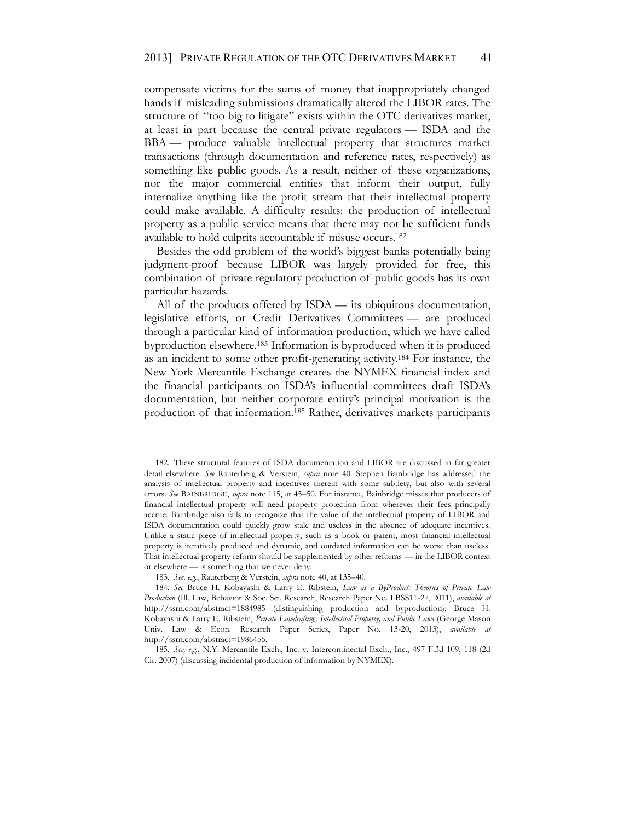compensate victims for the sums of money that inappropriately changed hands if misleading submissions dramatically altered the LIBOR rates. The structure of "too big to litigate" exists within the OTC derivatives market, at least in part because the central private regulators — ISDA and the BBA — produce valuable intellectual property that structures market transactions (through documentation and reference rates, respectively) as something like public goods. As a result, neither of these organizations, nor the major commercial entities that inform their output, fully internalize anything like the profit stream that their intellectual property could make available. A difficulty results: the production of intellectual property as a public service means that there may not be sufficient funds available to hold culprits accountable if misuse occurs.182

Besides the odd problem of the world's biggest banks potentially being judgment-proof because LIBOR was largely provided for free, this combination of private regulatory production of public goods has its own particular hazards.

All of the products offered by ISDA — its ubiquitous documentation, legislative efforts, or Credit Derivatives Committees — are produced through a particular kind of information production, which we have called byproduction elsewhere.183 Information is byproduced when it is produced as an incident to some other profit-generating activity.184 For instance, the New York Mercantile Exchange creates the NYMEX financial index and the financial participants on ISDA's influential committees draft ISDA's documentation, but neither corporate entity's principal motivation is the production of that information.185 Rather, derivatives markets participants

<sup>182.</sup> These structural features of ISDA documentation and LIBOR are discussed in far greater detail elsewhere. *See* Rauterberg & Verstein, *supra* note 40. Stephen Bainbridge has addressed the analysis of intellectual property and incentives therein with some subtlety, but also with several errors. *See* BAINBRIDGE, *supra* note 115, at 45–50. For instance, Bainbridge misses that producers of financial intellectual property will need property protection from wherever their fees principally accrue. Bainbridge also fails to recognize that the value of the intellectual property of LIBOR and ISDA documentation could quickly grow stale and useless in the absence of adequate incentives. Unlike a static piece of intellectual property, such as a book or patent, most financial intellectual property is iteratively produced and dynamic, and outdated information can be worse than useless. That intellectual property reform should be supplemented by other reforms — in the LIBOR context or elsewhere — is something that we never deny.

<sup>183.</sup> *See, e.g.*, Rauterberg & Verstein, *supra* note 40, at 135–40.

<sup>184.</sup> *See* Bruce H. Kobayashi & Larry E. Ribstein, *Law as a ByProduct: Theories of Private Law Production* (Ill. Law, Behavior & Soc. Sci. Research, Research Paper No. LBSS11-27, 2011), *available at* http://ssrn.com/abstract=1884985 (distinguishing production and byproduction); Bruce H. Kobayashi & Larry E. Ribstein, *Private Lawdrafting, Intellectual Property, and Public Laws* (George Mason Univ. Law & Econ. Research Paper Series, Paper No. 13-20, 2013), *available at* http://ssrn.com/abstract=1986455.

<sup>185.</sup> *See, e.g.*, N.Y. Mercantile Exch., Inc. v. Intercontinental Exch., Inc., 497 F.3d 109, 118 (2d Cir. 2007) (discussing incidental production of information by NYMEX).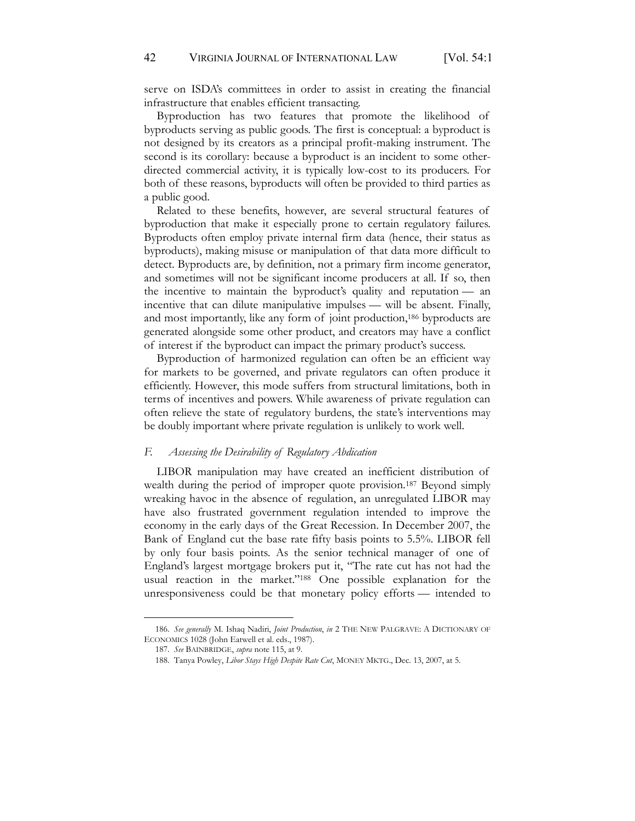serve on ISDA's committees in order to assist in creating the financial infrastructure that enables efficient transacting.

Byproduction has two features that promote the likelihood of byproducts serving as public goods. The first is conceptual: a byproduct is not designed by its creators as a principal profit-making instrument. The second is its corollary: because a byproduct is an incident to some otherdirected commercial activity, it is typically low-cost to its producers. For both of these reasons, byproducts will often be provided to third parties as a public good.

Related to these benefits, however, are several structural features of byproduction that make it especially prone to certain regulatory failures. Byproducts often employ private internal firm data (hence, their status as byproducts), making misuse or manipulation of that data more difficult to detect. Byproducts are, by definition, not a primary firm income generator, and sometimes will not be significant income producers at all. If so, then the incentive to maintain the byproduct's quality and reputation — an incentive that can dilute manipulative impulses — will be absent. Finally, and most importantly, like any form of joint production,186 byproducts are generated alongside some other product, and creators may have a conflict of interest if the byproduct can impact the primary product's success.

Byproduction of harmonized regulation can often be an efficient way for markets to be governed, and private regulators can often produce it efficiently. However, this mode suffers from structural limitations, both in terms of incentives and powers. While awareness of private regulation can often relieve the state of regulatory burdens, the state's interventions may be doubly important where private regulation is unlikely to work well.

#### *F. Assessing the Desirability of Regulatory Abdication*

LIBOR manipulation may have created an inefficient distribution of wealth during the period of improper quote provision.187 Beyond simply wreaking havoc in the absence of regulation, an unregulated LIBOR may have also frustrated government regulation intended to improve the economy in the early days of the Great Recession. In December 2007, the Bank of England cut the base rate fifty basis points to 5.5%. LIBOR fell by only four basis points. As the senior technical manager of one of England's largest mortgage brokers put it, "The rate cut has not had the usual reaction in the market."<sup>188</sup> One possible explanation for the unresponsiveness could be that monetary policy efforts — intended to

<sup>186.</sup> *See generally* M. Ishaq Nadiri, *Joint Production*, *in* 2 THE NEW PALGRAVE: A DICTIONARY OF ECONOMICS 1028 (John Eatwell et al. eds., 1987).

<sup>187.</sup> *See* BAINBRIDGE, *supra* note 115, at 9.

<sup>188.</sup> Tanya Powley, *Libor Stays High Despite Rate Cut*, MONEY MKTG., Dec. 13, 2007, at 5.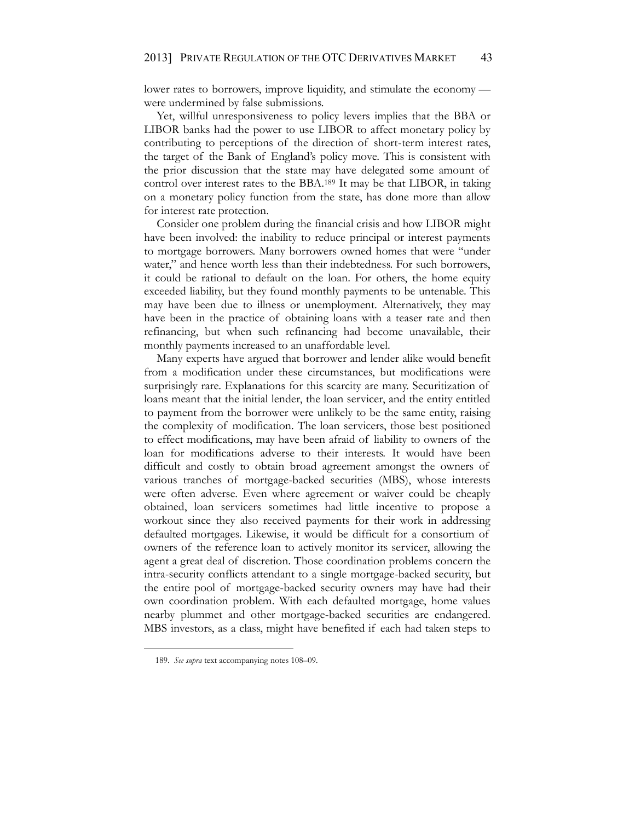lower rates to borrowers, improve liquidity, and stimulate the economy were undermined by false submissions.

Yet, willful unresponsiveness to policy levers implies that the BBA or LIBOR banks had the power to use LIBOR to affect monetary policy by contributing to perceptions of the direction of short-term interest rates, the target of the Bank of England's policy move. This is consistent with the prior discussion that the state may have delegated some amount of control over interest rates to the BBA.189 It may be that LIBOR, in taking on a monetary policy function from the state, has done more than allow for interest rate protection.

Consider one problem during the financial crisis and how LIBOR might have been involved: the inability to reduce principal or interest payments to mortgage borrowers. Many borrowers owned homes that were "under water," and hence worth less than their indebtedness. For such borrowers, it could be rational to default on the loan. For others, the home equity exceeded liability, but they found monthly payments to be untenable. This may have been due to illness or unemployment. Alternatively, they may have been in the practice of obtaining loans with a teaser rate and then refinancing, but when such refinancing had become unavailable, their monthly payments increased to an unaffordable level.

Many experts have argued that borrower and lender alike would benefit from a modification under these circumstances, but modifications were surprisingly rare. Explanations for this scarcity are many. Securitization of loans meant that the initial lender, the loan servicer, and the entity entitled to payment from the borrower were unlikely to be the same entity, raising the complexity of modification. The loan servicers, those best positioned to effect modifications, may have been afraid of liability to owners of the loan for modifications adverse to their interests. It would have been difficult and costly to obtain broad agreement amongst the owners of various tranches of mortgage-backed securities (MBS), whose interests were often adverse. Even where agreement or waiver could be cheaply obtained, loan servicers sometimes had little incentive to propose a workout since they also received payments for their work in addressing defaulted mortgages. Likewise, it would be difficult for a consortium of owners of the reference loan to actively monitor its servicer, allowing the agent a great deal of discretion. Those coordination problems concern the intra-security conflicts attendant to a single mortgage-backed security, but the entire pool of mortgage-backed security owners may have had their own coordination problem. With each defaulted mortgage, home values nearby plummet and other mortgage-backed securities are endangered. MBS investors, as a class, might have benefited if each had taken steps to

<sup>189.</sup> *See supra* text accompanying notes 108–09.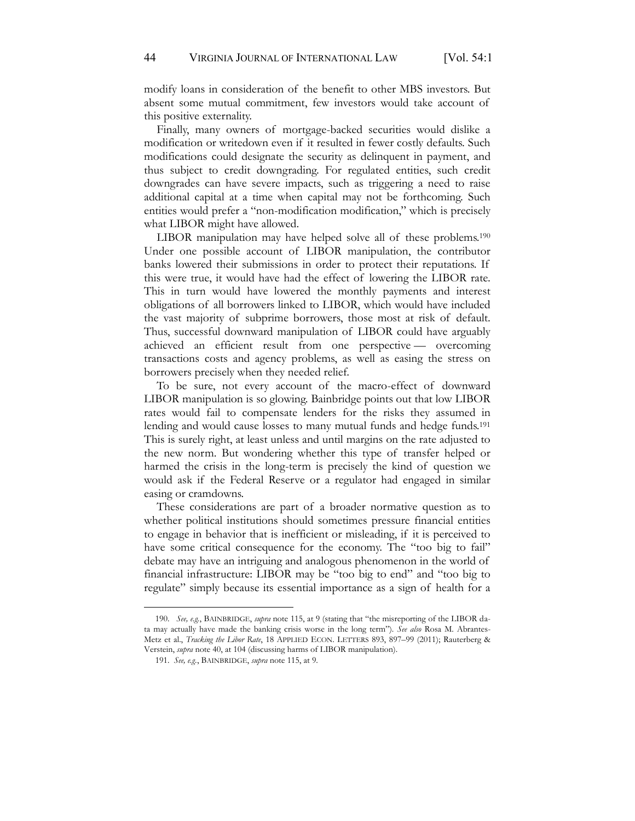modify loans in consideration of the benefit to other MBS investors. But absent some mutual commitment, few investors would take account of this positive externality.

Finally, many owners of mortgage-backed securities would dislike a modification or writedown even if it resulted in fewer costly defaults. Such modifications could designate the security as delinquent in payment, and thus subject to credit downgrading. For regulated entities, such credit downgrades can have severe impacts, such as triggering a need to raise additional capital at a time when capital may not be forthcoming. Such entities would prefer a "non-modification modification," which is precisely what LIBOR might have allowed.

LIBOR manipulation may have helped solve all of these problems.190 Under one possible account of LIBOR manipulation, the contributor banks lowered their submissions in order to protect their reputations. If this were true, it would have had the effect of lowering the LIBOR rate. This in turn would have lowered the monthly payments and interest obligations of all borrowers linked to LIBOR, which would have included the vast majority of subprime borrowers, those most at risk of default. Thus, successful downward manipulation of LIBOR could have arguably achieved an efficient result from one perspective — overcoming transactions costs and agency problems, as well as easing the stress on borrowers precisely when they needed relief.

To be sure, not every account of the macro-effect of downward LIBOR manipulation is so glowing. Bainbridge points out that low LIBOR rates would fail to compensate lenders for the risks they assumed in lending and would cause losses to many mutual funds and hedge funds.<sup>191</sup> This is surely right, at least unless and until margins on the rate adjusted to the new norm. But wondering whether this type of transfer helped or harmed the crisis in the long-term is precisely the kind of question we would ask if the Federal Reserve or a regulator had engaged in similar easing or cramdowns.

These considerations are part of a broader normative question as to whether political institutions should sometimes pressure financial entities to engage in behavior that is inefficient or misleading, if it is perceived to have some critical consequence for the economy. The "too big to fail" debate may have an intriguing and analogous phenomenon in the world of financial infrastructure: LIBOR may be "too big to end" and "too big to regulate" simply because its essential importance as a sign of health for a

<sup>190.</sup> *See, e.g.*, BAINBRIDGE, *supra* note 115, at 9 (stating that "the misreporting of the LIBOR data may actually have made the banking crisis worse in the long term"). *See also* Rosa M. Abrantes-Metz et al., *Tracking the Libor Rate*, 18 APPLIED ECON. LETTERS 893, 897–99 (2011); Rauterberg & Verstein, *supra* note 40, at 104 (discussing harms of LIBOR manipulation).

<sup>191.</sup> *See, e.g.*, BAINBRIDGE, *supra* note 115, at 9.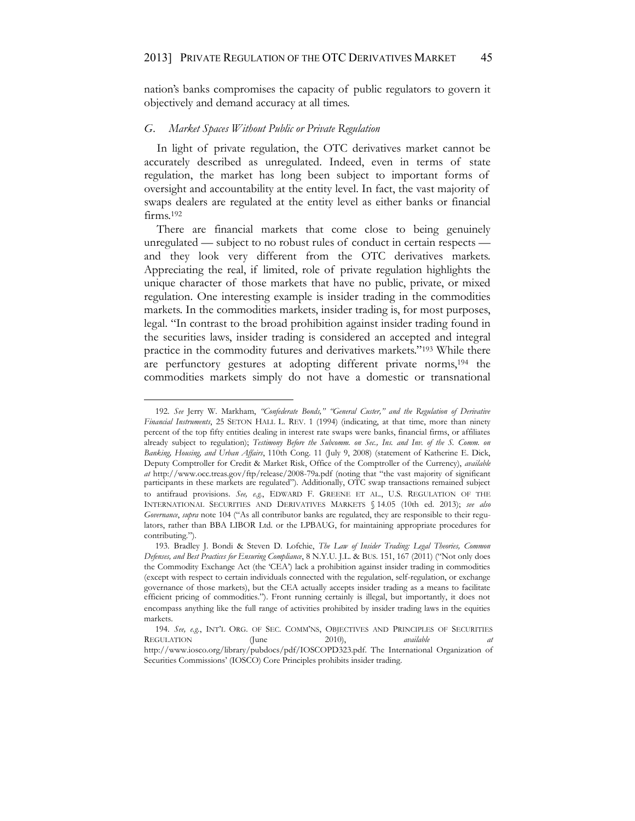nation's banks compromises the capacity of public regulators to govern it objectively and demand accuracy at all times.

#### *G. Market Spaces Without Public or Private Regulation*

In light of private regulation, the OTC derivatives market cannot be accurately described as unregulated. Indeed, even in terms of state regulation, the market has long been subject to important forms of oversight and accountability at the entity level. In fact, the vast majority of swaps dealers are regulated at the entity level as either banks or financial firms.<sup>192</sup>

There are financial markets that come close to being genuinely unregulated — subject to no robust rules of conduct in certain respects and they look very different from the OTC derivatives markets. Appreciating the real, if limited, role of private regulation highlights the unique character of those markets that have no public, private, or mixed regulation. One interesting example is insider trading in the commodities markets. In the commodities markets, insider trading is, for most purposes, legal. "In contrast to the broad prohibition against insider trading found in the securities laws, insider trading is considered an accepted and integral practice in the commodity futures and derivatives markets."<sup>193</sup> While there are perfunctory gestures at adopting different private norms,194 the commodities markets simply do not have a domestic or transnational

<sup>192.</sup> *See* Jerry W. Markham, *"Confederate Bonds," "General Custer," and the Regulation of Derivative Financial Instruments*, 25 SETON HALL L. REV. 1 (1994) (indicating, at that time, more than ninety percent of the top fifty entities dealing in interest rate swaps were banks, financial firms, or affiliates already subject to regulation); *Testimony Before the Subcomm. on Sec., Ins. and Inv. of the S. Comm. on Banking, Housing, and Urban Affairs*, 110th Cong. 11 (July 9, 2008) (statement of Katherine E. Dick, Deputy Comptroller for Credit & Market Risk, Office of the Comptroller of the Currency), *available at* http://www.occ.treas.gov/ftp/release/2008-79a.pdf (noting that "the vast majority of significant participants in these markets are regulated"). Additionally, OTC swap transactions remained subject to antifraud provisions. *See, e.g.*, EDWARD F. GREENE ET AL., U.S. REGULATION OF THE INTERNATIONAL SECURITIES AND DERIVATIVES MARKETS § 14.05 (10th ed. 2013); *see also Governance*, *supra* note 104 ("As all contributor banks are regulated, they are responsible to their regulators, rather than BBA LIBOR Ltd. or the LPBAUG, for maintaining appropriate procedures for contributing.").

<sup>193.</sup> Bradley J. Bondi & Steven D. Lofchie, *The Law of Insider Trading: Legal Theories, Common Defenses, and Best Practices for Ensuring Compliance*, 8 N.Y.U. J.L. & BUS. 151, 167 (2011) ("Not only does the Commodity Exchange Act (the 'CEA') lack a prohibition against insider trading in commodities (except with respect to certain individuals connected with the regulation, self-regulation, or exchange governance of those markets), but the CEA actually accepts insider trading as a means to facilitate efficient pricing of commodities."). Front running certainly is illegal, but importantly, it does not encompass anything like the full range of activities prohibited by insider trading laws in the equities markets.

<sup>194.</sup> *See, e.g.*, INT'L ORG. OF SEC. COMM'NS, OBJECTIVES AND PRINCIPLES OF SECURITIES REGULATION (June 2010), *available* http://www.iosco.org/library/pubdocs/pdf/IOSCOPD323.pdf. The International Organization of Securities Commissions' (IOSCO) Core Principles prohibits insider trading.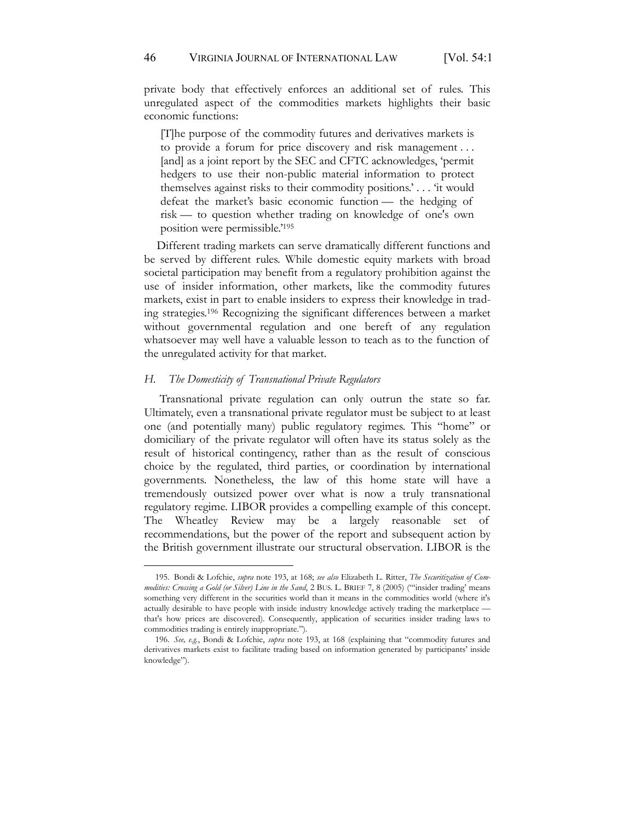private body that effectively enforces an additional set of rules. This unregulated aspect of the commodities markets highlights their basic economic functions:

[T]he purpose of the commodity futures and derivatives markets is to provide a forum for price discovery and risk management . . . [and] as a joint report by the SEC and CFTC acknowledges, 'permit hedgers to use their non-public material information to protect themselves against risks to their commodity positions.' . . . 'it would defeat the market's basic economic function — the hedging of risk — to question whether trading on knowledge of one's own position were permissible.'<sup>195</sup>

Different trading markets can serve dramatically different functions and be served by different rules. While domestic equity markets with broad societal participation may benefit from a regulatory prohibition against the use of insider information, other markets, like the commodity futures markets, exist in part to enable insiders to express their knowledge in trading strategies.196 Recognizing the significant differences between a market without governmental regulation and one bereft of any regulation whatsoever may well have a valuable lesson to teach as to the function of the unregulated activity for that market.

#### *H. The Domesticity of Transnational Private Regulators*

Transnational private regulation can only outrun the state so far. Ultimately, even a transnational private regulator must be subject to at least one (and potentially many) public regulatory regimes. This "home" or domiciliary of the private regulator will often have its status solely as the result of historical contingency, rather than as the result of conscious choice by the regulated, third parties, or coordination by international governments. Nonetheless, the law of this home state will have a tremendously outsized power over what is now a truly transnational regulatory regime. LIBOR provides a compelling example of this concept. The Wheatley Review may be a largely reasonable set of recommendations, but the power of the report and subsequent action by the British government illustrate our structural observation. LIBOR is the

<sup>195.</sup> Bondi & Lofchie, *supra* note 193, at 168; *see also* Elizabeth L. Ritter, *The Securitization of Commodities: Crossing a Gold (or Silver) Line in the Sand*, 2 BUS. L. BRIEF 7, 8 (2005) ("'insider trading' means something very different in the securities world than it means in the commodities world (where it's actually desirable to have people with inside industry knowledge actively trading the marketplace that's how prices are discovered). Consequently, application of securities insider trading laws to commodities trading is entirely inappropriate.").

<sup>196.</sup> *See, e.g.*, Bondi & Lofchie, *supra* note 193, at 168 (explaining that "commodity futures and derivatives markets exist to facilitate trading based on information generated by participants' inside knowledge").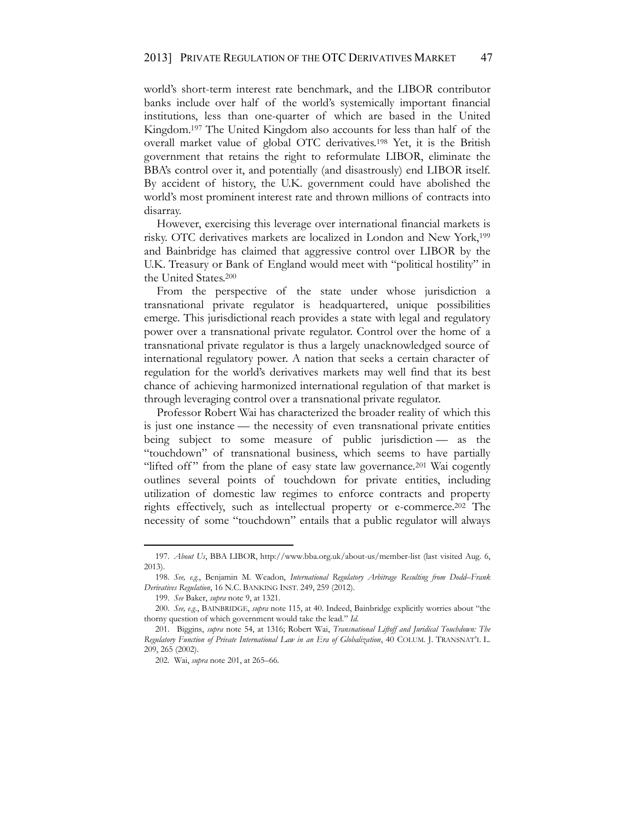world's short-term interest rate benchmark, and the LIBOR contributor banks include over half of the world's systemically important financial institutions, less than one-quarter of which are based in the United Kingdom.197 The United Kingdom also accounts for less than half of the overall market value of global OTC derivatives.198 Yet, it is the British government that retains the right to reformulate LIBOR, eliminate the BBA's control over it, and potentially (and disastrously) end LIBOR itself. By accident of history, the U.K. government could have abolished the world's most prominent interest rate and thrown millions of contracts into disarray.

However, exercising this leverage over international financial markets is risky. OTC derivatives markets are localized in London and New York,199 and Bainbridge has claimed that aggressive control over LIBOR by the U.K. Treasury or Bank of England would meet with "political hostility" in the United States.200

From the perspective of the state under whose jurisdiction a transnational private regulator is headquartered, unique possibilities emerge. This jurisdictional reach provides a state with legal and regulatory power over a transnational private regulator. Control over the home of a transnational private regulator is thus a largely unacknowledged source of international regulatory power. A nation that seeks a certain character of regulation for the world's derivatives markets may well find that its best chance of achieving harmonized international regulation of that market is through leveraging control over a transnational private regulator.

Professor Robert Wai has characterized the broader reality of which this is just one instance — the necessity of even transnational private entities being subject to some measure of public jurisdiction — as the "touchdown" of transnational business, which seems to have partially "lifted off" from the plane of easy state law governance.<sup>201</sup> Wai cogently outlines several points of touchdown for private entities, including utilization of domestic law regimes to enforce contracts and property rights effectively, such as intellectual property or e-commerce.202 The necessity of some "touchdown" entails that a public regulator will always

<sup>197.</sup> *About Us*, BBA LIBOR, http://www.bba.org.uk/about-us/member-list (last visited Aug. 6, 2013).

<sup>198.</sup> *See, e.g.*, Benjamin M. Weadon, *International Regulatory Arbitrage Resulting from Dodd–Frank Derivatives Regulation*, 16 N.C. BANKING INST. 249, 259 (2012).

<sup>199.</sup> *See* Baker, *supra* note 9, at 1321.

<sup>200.</sup> *See, e.g.*, BAINBRIDGE, *supra* note 115, at 40. Indeed, Bainbridge explicitly worries about "the thorny question of which government would take the lead." *Id.*

<sup>201.</sup> Biggins, *supra* note 54, at 1316; Robert Wai, *Transnational Liftoff and Juridical Touchdown: The Regulatory Function of Private International Law in an Era of Globalization*, 40 COLUM. J. TRANSNAT'L L. 209, 265 (2002).

<sup>202.</sup> Wai, *supra* note 201, at 265–66.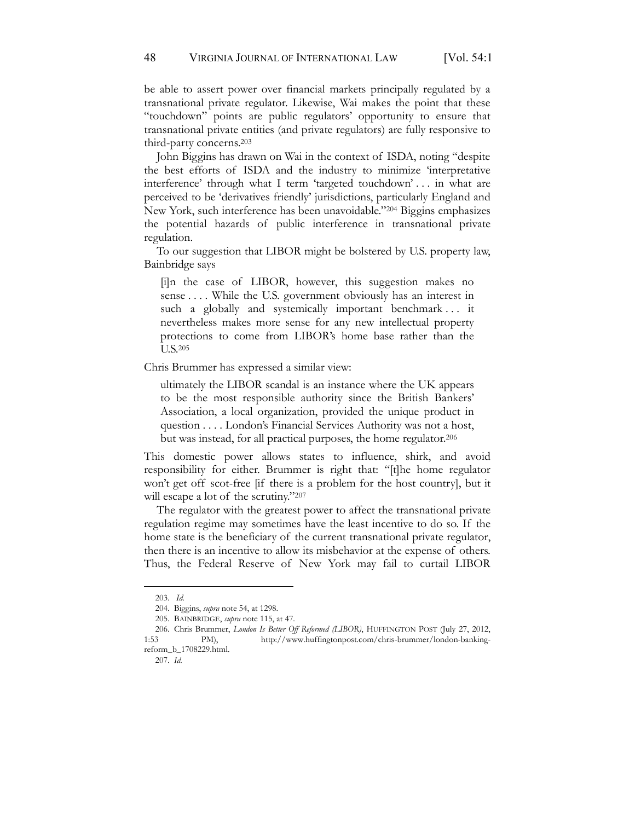be able to assert power over financial markets principally regulated by a transnational private regulator. Likewise, Wai makes the point that these "touchdown" points are public regulators' opportunity to ensure that transnational private entities (and private regulators) are fully responsive to third-party concerns.203

John Biggins has drawn on Wai in the context of ISDA, noting "despite the best efforts of ISDA and the industry to minimize 'interpretative interference' through what I term 'targeted touchdown' . . . in what are perceived to be 'derivatives friendly' jurisdictions, particularly England and New York, such interference has been unavoidable."<sup>204</sup> Biggins emphasizes the potential hazards of public interference in transnational private regulation.

To our suggestion that LIBOR might be bolstered by U.S. property law, Bainbridge says

[i]n the case of LIBOR, however, this suggestion makes no sense . . . . While the U.S. government obviously has an interest in such a globally and systemically important benchmark... it nevertheless makes more sense for any new intellectual property protections to come from LIBOR's home base rather than the U.S.205

Chris Brummer has expressed a similar view:

ultimately the LIBOR scandal is an instance where the UK appears to be the most responsible authority since the British Bankers' Association, a local organization, provided the unique product in question . . . . London's Financial Services Authority was not a host, but was instead, for all practical purposes, the home regulator.206

This domestic power allows states to influence, shirk, and avoid responsibility for either. Brummer is right that: "[t]he home regulator won't get off scot-free [if there is a problem for the host country], but it will escape a lot of the scrutiny."207

The regulator with the greatest power to affect the transnational private regulation regime may sometimes have the least incentive to do so. If the home state is the beneficiary of the current transnational private regulator, then there is an incentive to allow its misbehavior at the expense of others. Thus, the Federal Reserve of New York may fail to curtail LIBOR

<sup>203.</sup> *Id.*

<sup>204.</sup> Biggins, *supra* note 54, at 1298.

<sup>205.</sup> BAINBRIDGE, *supra* note 115, at 47.

<sup>206.</sup> Chris Brummer, *London Is Better Off Reformed (LIBOR)*, HUFFINGTON POST (July 27, 2012, 1:53 PM), http://www.huffingtonpost.com/chris-brummer/london-bankingreform\_b\_1708229.html.

<sup>207.</sup> *Id.*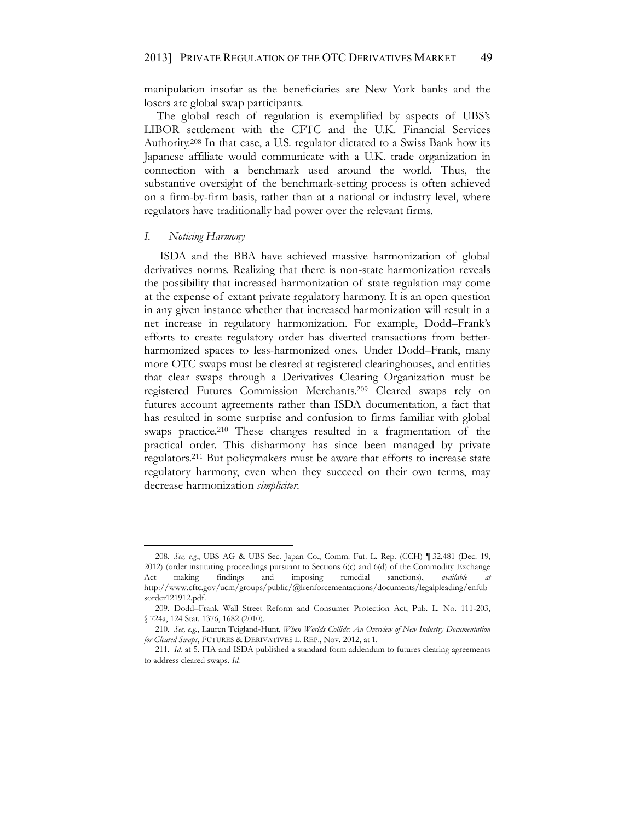manipulation insofar as the beneficiaries are New York banks and the losers are global swap participants.

The global reach of regulation is exemplified by aspects of UBS's LIBOR settlement with the CFTC and the U.K. Financial Services Authority.208 In that case, a U.S. regulator dictated to a Swiss Bank how its Japanese affiliate would communicate with a U.K. trade organization in connection with a benchmark used around the world. Thus, the substantive oversight of the benchmark-setting process is often achieved on a firm-by-firm basis, rather than at a national or industry level, where regulators have traditionally had power over the relevant firms.

#### *I. Noticing Harmony*

ISDA and the BBA have achieved massive harmonization of global derivatives norms. Realizing that there is non-state harmonization reveals the possibility that increased harmonization of state regulation may come at the expense of extant private regulatory harmony. It is an open question in any given instance whether that increased harmonization will result in a net increase in regulatory harmonization. For example, Dodd–Frank's efforts to create regulatory order has diverted transactions from betterharmonized spaces to less-harmonized ones. Under Dodd–Frank, many more OTC swaps must be cleared at registered clearinghouses, and entities that clear swaps through a Derivatives Clearing Organization must be registered Futures Commission Merchants.209 Cleared swaps rely on futures account agreements rather than ISDA documentation, a fact that has resulted in some surprise and confusion to firms familiar with global swaps practice.<sup>210</sup> These changes resulted in a fragmentation of the practical order. This disharmony has since been managed by private regulators.211 But policymakers must be aware that efforts to increase state regulatory harmony, even when they succeed on their own terms, may decrease harmonization *simpliciter*.

<sup>208.</sup> *See, e.g.*, UBS AG & UBS Sec. Japan Co., Comm. Fut. L. Rep. (CCH) ¶ 32,481 (Dec. 19, 2012) (order instituting proceedings pursuant to Sections 6(c) and 6(d) of the Commodity Exchange Act making findings and imposing remedial sanctions), *available at* http://www.cftc.gov/ucm/groups/public/@lrenforcementactions/documents/legalpleading/enfub sorder121912.pdf.

<sup>209.</sup> Dodd–Frank Wall Street Reform and Consumer Protection Act, Pub. L. No. 111-203, § 724a, 124 Stat. 1376, 1682 (2010).

<sup>210.</sup> *See, e.g.*, Lauren Teigland-Hunt, *When Worlds Collide: An Overview of New Industry Documentation for Cleared Swaps*, FUTURES & DERIVATIVES L. REP., Nov. 2012, at 1.

<sup>211.</sup> *Id.* at 5. FIA and ISDA published a standard form addendum to futures clearing agreements to address cleared swaps. *Id.*